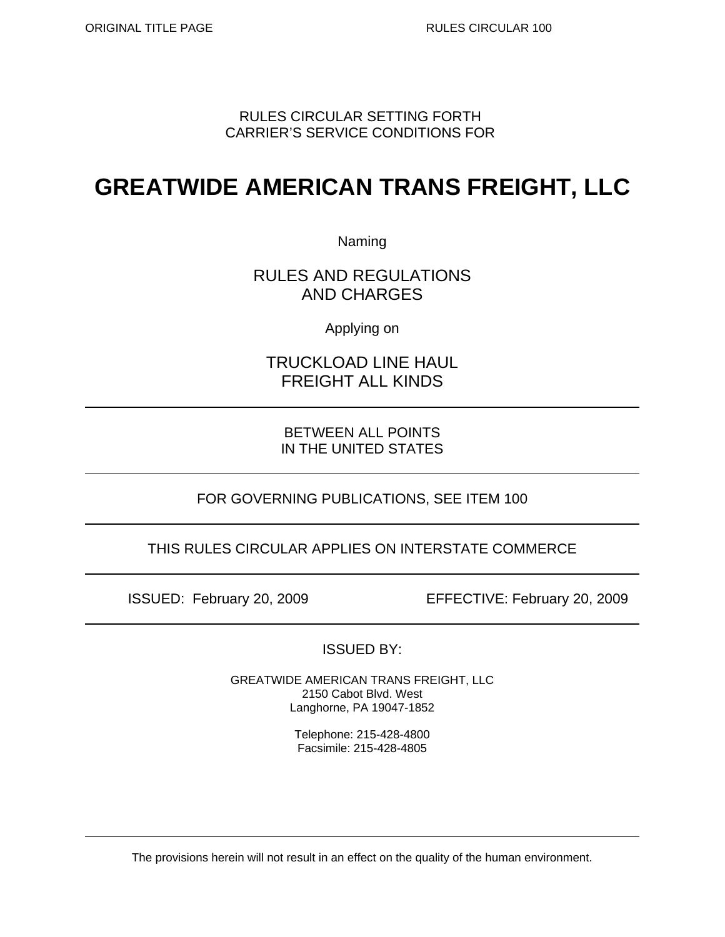RULES CIRCULAR SETTING FORTH CARRIER'S SERVICE CONDITIONS FOR

# **GREATWIDE AMERICAN TRANS FREIGHT, LLC**

Naming

RULES AND REGULATIONS AND CHARGES

Applying on

TRUCKLOAD LINE HAUL FREIGHT ALL KINDS

BETWEEN ALL POINTS IN THE UNITED STATES

FOR GOVERNING PUBLICATIONS, SEE ITEM 100

THIS RULES CIRCULAR APPLIES ON INTERSTATE COMMERCE

ISSUED: February 20, 2009 EFFECTIVE: February 20, 2009

ISSUED BY:

GREATWIDE AMERICAN TRANS FREIGHT, LLC 2150 Cabot Blvd. West Langhorne, PA 19047-1852

> Telephone: 215-428-4800 Facsimile: 215-428-4805

The provisions herein will not result in an effect on the quality of the human environment.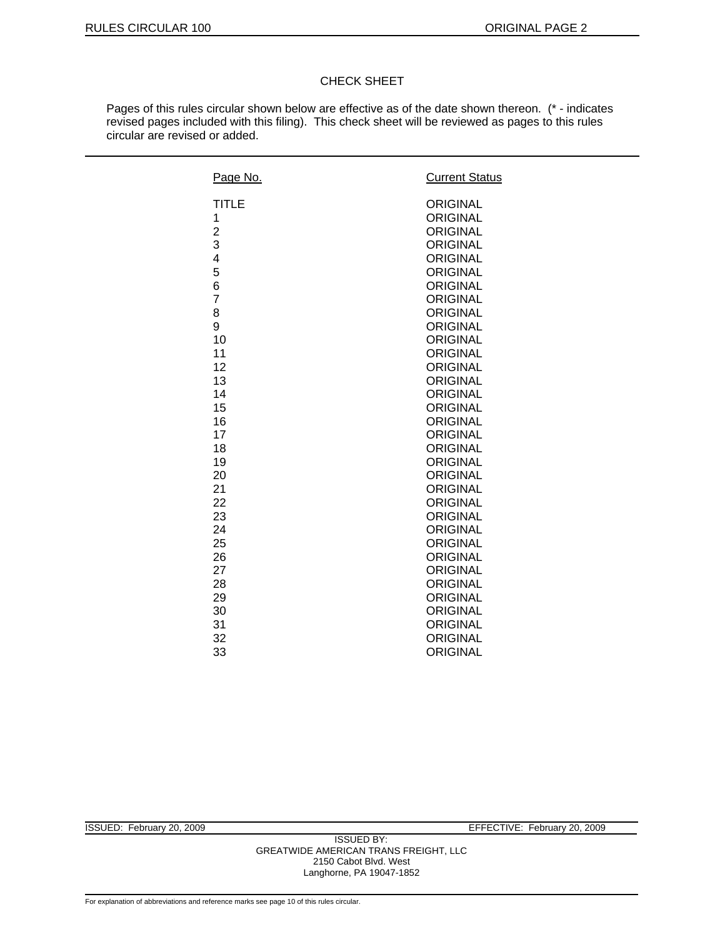# CHECK SHEET

Pages of this rules circular shown below are effective as of the date shown thereon. (\* - indicates revised pages included with this filing). This check sheet will be reviewed as pages to this rules circular are revised or added.

| Page No.                | <b>Current Status</b> |
|-------------------------|-----------------------|
| <b>TITLE</b>            | <b>ORIGINAL</b>       |
| 1                       | <b>ORIGINAL</b>       |
| $\overline{\mathbf{c}}$ | <b>ORIGINAL</b>       |
| 3                       | <b>ORIGINAL</b>       |
| $\overline{\mathbf{4}}$ | <b>ORIGINAL</b>       |
| 5                       | <b>ORIGINAL</b>       |
| $\,6$                   | <b>ORIGINAL</b>       |
| $\overline{7}$          | <b>ORIGINAL</b>       |
| 8                       | <b>ORIGINAL</b>       |
| 9                       | ORIGINAL              |
| 10                      | <b>ORIGINAL</b>       |
| 11                      | <b>ORIGINAL</b>       |
| 12                      | <b>ORIGINAL</b>       |
| 13                      | ORIGINAL              |
| 14                      | <b>ORIGINAL</b>       |
| 15                      | <b>ORIGINAL</b>       |
| 16                      | <b>ORIGINAL</b>       |
| 17                      | <b>ORIGINAL</b>       |
| 18                      | <b>ORIGINAL</b>       |
| 19                      | <b>ORIGINAL</b>       |
| 20                      | <b>ORIGINAL</b>       |
| 21                      | <b>ORIGINAL</b>       |
| 22                      | <b>ORIGINAL</b>       |
| 23                      | <b>ORIGINAL</b>       |
| 24                      | <b>ORIGINAL</b>       |
| 25                      | <b>ORIGINAL</b>       |
| 26                      | <b>ORIGINAL</b>       |
| 27                      | <b>ORIGINAL</b>       |
| 28                      | <b>ORIGINAL</b>       |
| 29                      | <b>ORIGINAL</b>       |
| 30                      | <b>ORIGINAL</b>       |
| 31                      | <b>ORIGINAL</b>       |
| 32                      | <b>ORIGINAL</b>       |
| 33                      | <b>ORIGINAL</b>       |

ISSUED: February 20, 2009 EFFECTIVE: February 20, 2009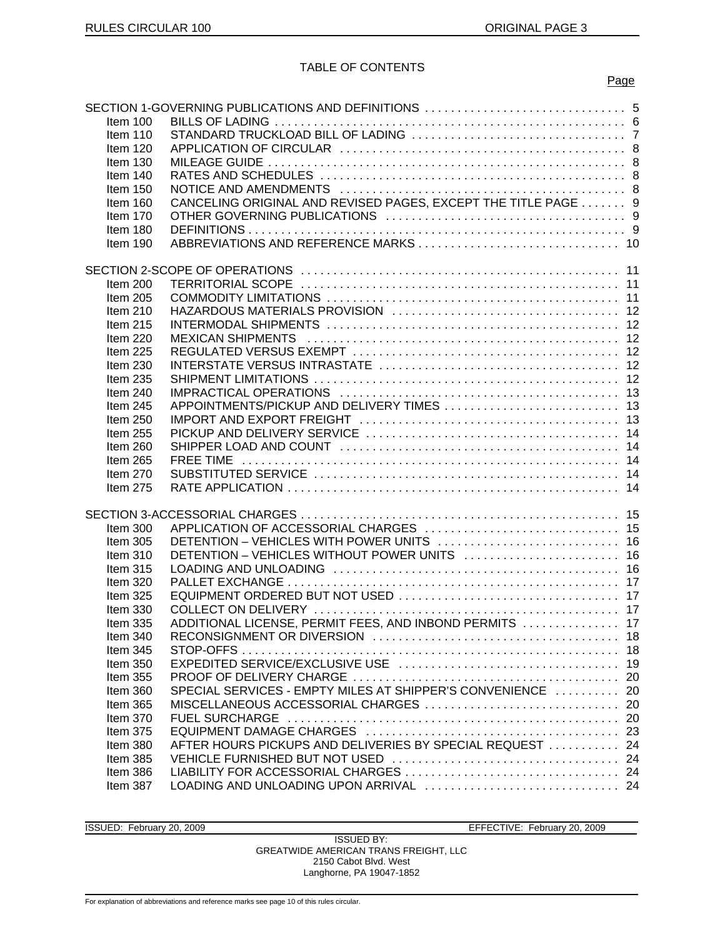# TABLE OF CONTENTS

#### Page

| Item $100$<br>Item 110<br>Item 120<br>Item $130$<br>Item 140<br>Item 150<br>Item 160<br>Item 170<br>Item 180<br>Item 190 | CANCELING ORIGINAL AND REVISED PAGES, EXCEPT THE TITLE PAGE  9 |    |
|--------------------------------------------------------------------------------------------------------------------------|----------------------------------------------------------------|----|
|                                                                                                                          |                                                                |    |
|                                                                                                                          |                                                                |    |
| Item 200                                                                                                                 |                                                                |    |
| Item 205                                                                                                                 |                                                                |    |
| Item $210$                                                                                                               |                                                                |    |
| Item 215                                                                                                                 |                                                                |    |
| Item 220                                                                                                                 | <b>MEXICAN SHIPMENTS</b>                                       |    |
| Item 225                                                                                                                 |                                                                |    |
| Item 230                                                                                                                 |                                                                |    |
| Item 235                                                                                                                 |                                                                |    |
| Item 240                                                                                                                 |                                                                |    |
| Item 245                                                                                                                 | APPOINTMENTS/PICKUP AND DELIVERY TIMES  13                     |    |
| Item 250                                                                                                                 |                                                                |    |
| Item 255                                                                                                                 |                                                                |    |
| Item 260                                                                                                                 |                                                                |    |
| Item 265                                                                                                                 |                                                                |    |
| Item $270$                                                                                                               |                                                                |    |
| Item 275                                                                                                                 |                                                                |    |
|                                                                                                                          |                                                                |    |
| Item 300                                                                                                                 |                                                                |    |
| Item 305                                                                                                                 |                                                                |    |
| Item 310                                                                                                                 |                                                                |    |
| Item 315                                                                                                                 |                                                                |    |
| Item 320                                                                                                                 |                                                                |    |
| Item 325                                                                                                                 |                                                                |    |
| Item 330                                                                                                                 |                                                                |    |
| Item $335$                                                                                                               | ADDITIONAL LICENSE. PERMIT FEES. AND INBOND PERMITS  17        |    |
| Item 340                                                                                                                 |                                                                |    |
| Item 345                                                                                                                 |                                                                |    |
| Item 350                                                                                                                 |                                                                | 19 |
| Item 355                                                                                                                 |                                                                |    |
| Item 360                                                                                                                 | SPECIAL SERVICES - EMPTY MILES AT SHIPPER'S CONVENIENCE        | 20 |
| Item 365                                                                                                                 | MISCELLANEOUS ACCESSORIAL CHARGES                              | 20 |
| Item 370                                                                                                                 |                                                                |    |
| Item 375                                                                                                                 |                                                                |    |
| Item 380                                                                                                                 | AFTER HOURS PICKUPS AND DELIVERIES BY SPECIAL REQUEST          | 24 |
| Item 385                                                                                                                 |                                                                |    |
| Item 386                                                                                                                 |                                                                |    |
| Item 387                                                                                                                 |                                                                |    |
|                                                                                                                          |                                                                |    |

ISSUED: February 20, 2009 EFFECTIVE: February 20, 2009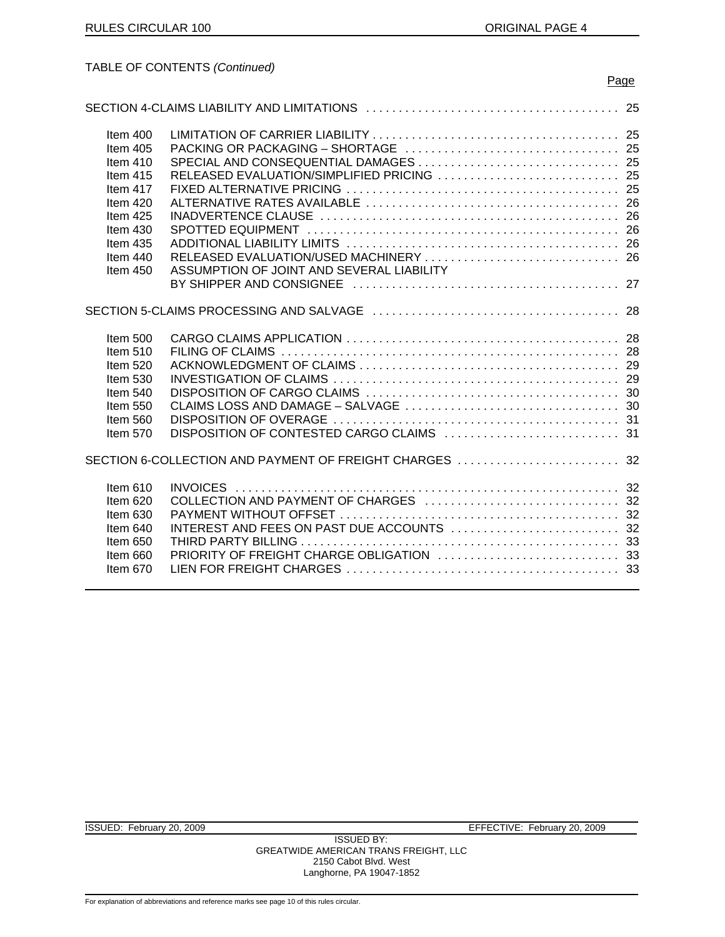|                                                                                                                                            | <b>TABLE OF CONTENTS (Continued)</b>                    | Page |
|--------------------------------------------------------------------------------------------------------------------------------------------|---------------------------------------------------------|------|
|                                                                                                                                            |                                                         |      |
|                                                                                                                                            |                                                         |      |
| Item $400$<br>Item 405<br>Item $410$<br>Item $415$<br>Item 417<br>Item 420<br>Item 425<br>Item $430$<br>Item 435<br>Item 440<br>Item $450$ | ASSUMPTION OF JOINT AND SEVERAL LIABILITY               |      |
|                                                                                                                                            |                                                         |      |
| Item 500<br>Item 510<br>Item 520<br>Item 530<br>Item 540<br>Item 550<br>Item 560<br>Item 570                                               |                                                         |      |
|                                                                                                                                            | SECTION 6-COLLECTION AND PAYMENT OF FREIGHT CHARGES  32 |      |
| Item $610$<br>Item 620<br>Item 630<br>Item 640<br>Item 650<br>Item 660<br>Item 670                                                         |                                                         |      |

ISSUED: February 20, 2009 EFFECTIVE: February 20, 2009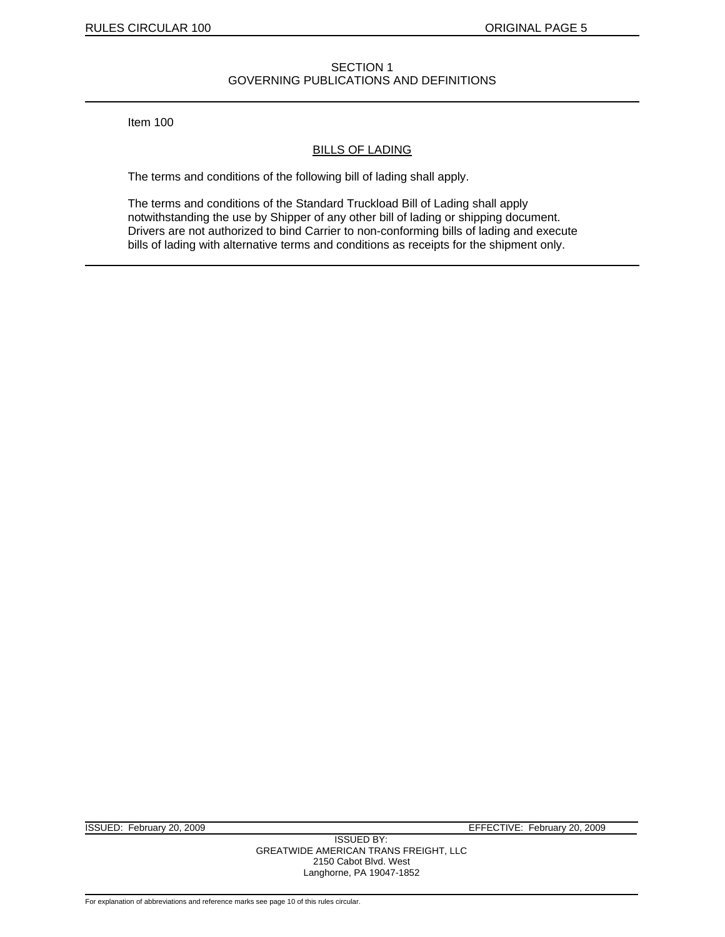# SECTION 1 GOVERNING PUBLICATIONS AND DEFINITIONS

Item 100

# BILLS OF LADING

The terms and conditions of the following bill of lading shall apply.

The terms and conditions of the Standard Truckload Bill of Lading shall apply notwithstanding the use by Shipper of any other bill of lading or shipping document. Drivers are not authorized to bind Carrier to non-conforming bills of lading and execute bills of lading with alternative terms and conditions as receipts for the shipment only.

ISSUED: February 20, 2009 EFFECTIVE: February 20, 2009

ISSUED BY: GREATWIDE AMERICAN TRANS FREIGHT, LLC 2150 Cabot Blvd. West Langhorne, PA 19047-1852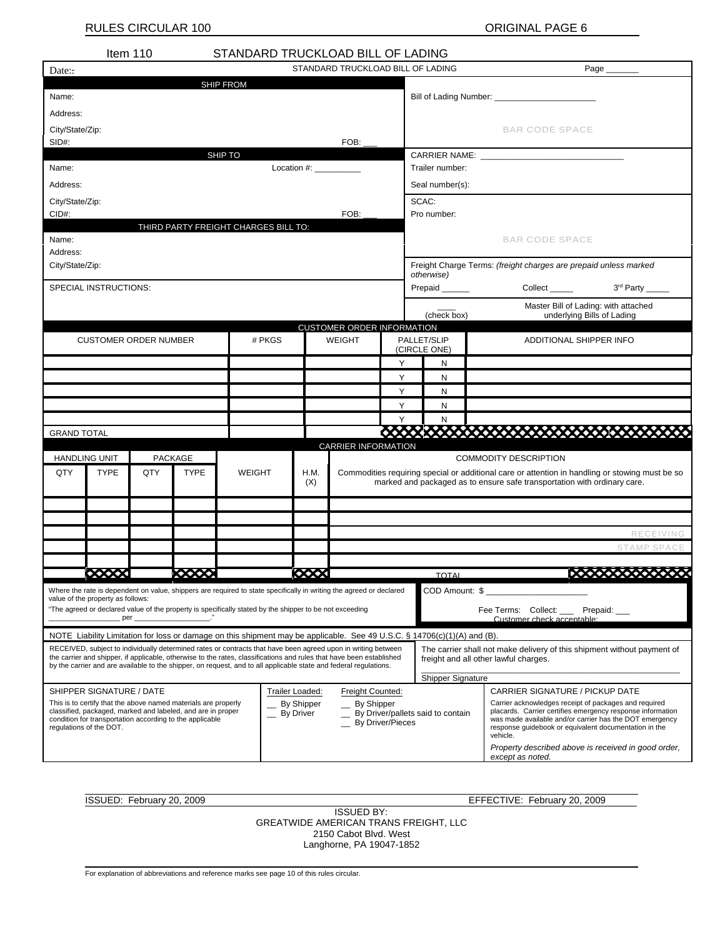| STANDARD TRUCKLOAD BILL OF LADING<br>Page $\_$<br>Date:.<br>SHIP FROM<br>Name:<br>Address:<br>City/State/Zip:<br><b>BAR CODE SPACE</b><br>FOB:<br>SID#:<br>SHIP TO<br>CARRIER NAME:<br>Location #: $\frac{1}{2}$<br>Trailer number:<br>Name:<br>Address:<br>Seal number(s):<br>City/State/Zip:<br>SCAC:<br>CID#:<br>FOB:<br>Pro number:<br>THIRD PARTY FREIGHT CHARGES BILL TO:<br><b>BAR CODE SPACE</b><br>Name:<br>Address:<br>Freight Charge Terms: (freight charges are prepaid unless marked<br>City/State/Zip:<br>otherwise)<br>$3^{\text{rd}}$ Party ___<br>SPECIAL INSTRUCTIONS:<br>Prepaid<br>Collect ______<br>Master Bill of Lading: with attached<br>underlying Bills of Lading<br>(check box)<br>CUSTOMER ORDER INFORMATION<br><b>WEIGHT</b><br>PALLET/SLIP<br>ADDITIONAL SHIPPER INFO<br><b>CUSTOMER ORDER NUMBER</b><br># PKGS<br>(CIRCLE ONE)<br>Y<br>Ν<br>Y<br>N<br>Y<br>N<br>Υ<br>N<br>Υ<br>N<br>88888888888888888888888888888<br><b>GRAND TOTAL</b><br><b>CARRIER INFORMATION</b><br><b>HANDLING UNIT</b><br><b>PACKAGE</b><br><b>COMMODITY DESCRIPTION</b><br>QTY<br><b>TYPE</b><br><b>WEIGHT</b><br>Commodities requiring special or additional care or attention in handling or stowing must be so<br>QTY<br><b>TYPE</b><br>H.M.<br>marked and packaged as to ensure safe transportation with ordinary care.<br>(X)<br>RECEIVING<br><b>STAMP SPACE</b><br>$\sim$<br>33333<br><b>ATALAN</b><br>ΤΩΤΔΙ<br>Where the rate is dependent on value, shippers are required to state specifically in writing the agreed or declared<br>COD Amount: \$<br>value of the property as follows:<br>"The agreed or declared value of the property is specifically stated by the shipper to be not exceeding<br>Fee Terms: Collect: ____ Prepaid: ___<br>$per_$<br>Customer check accentable:<br>NOTE Liability Limitation for loss or damage on this shipment may be applicable. See 49 U.S.C. § 14706(c)(1)(A) and (B).<br>RECEIVED, subject to individually determined rates or contracts that have been agreed upon in writing between<br>The carrier shall not make delivery of this shipment without payment of<br>the carrier and shipper, if applicable, otherwise to the rates, classifications and rules that have been established<br>freight and all other lawful charges.<br>by the carrier and are available to the shipper, on request, and to all applicable state and federal regulations.<br>Shipper Signature |                          | Item 110 |  |  |  |  | STANDARD TRUCKLOAD BILL OF LADING |  |  |  |
|----------------------------------------------------------------------------------------------------------------------------------------------------------------------------------------------------------------------------------------------------------------------------------------------------------------------------------------------------------------------------------------------------------------------------------------------------------------------------------------------------------------------------------------------------------------------------------------------------------------------------------------------------------------------------------------------------------------------------------------------------------------------------------------------------------------------------------------------------------------------------------------------------------------------------------------------------------------------------------------------------------------------------------------------------------------------------------------------------------------------------------------------------------------------------------------------------------------------------------------------------------------------------------------------------------------------------------------------------------------------------------------------------------------------------------------------------------------------------------------------------------------------------------------------------------------------------------------------------------------------------------------------------------------------------------------------------------------------------------------------------------------------------------------------------------------------------------------------------------------------------------------------------------------------------------------------------------------------------------------------------------------------------------------------------------------------------------------------------------------------------------------------------------------------------------------------------------------------------------------------------------------------------------------------------------------------------------------------------------------------------------------------------------------------------------------|--------------------------|----------|--|--|--|--|-----------------------------------|--|--|--|
|                                                                                                                                                                                                                                                                                                                                                                                                                                                                                                                                                                                                                                                                                                                                                                                                                                                                                                                                                                                                                                                                                                                                                                                                                                                                                                                                                                                                                                                                                                                                                                                                                                                                                                                                                                                                                                                                                                                                                                                                                                                                                                                                                                                                                                                                                                                                                                                                                                        |                          |          |  |  |  |  |                                   |  |  |  |
|                                                                                                                                                                                                                                                                                                                                                                                                                                                                                                                                                                                                                                                                                                                                                                                                                                                                                                                                                                                                                                                                                                                                                                                                                                                                                                                                                                                                                                                                                                                                                                                                                                                                                                                                                                                                                                                                                                                                                                                                                                                                                                                                                                                                                                                                                                                                                                                                                                        |                          |          |  |  |  |  |                                   |  |  |  |
|                                                                                                                                                                                                                                                                                                                                                                                                                                                                                                                                                                                                                                                                                                                                                                                                                                                                                                                                                                                                                                                                                                                                                                                                                                                                                                                                                                                                                                                                                                                                                                                                                                                                                                                                                                                                                                                                                                                                                                                                                                                                                                                                                                                                                                                                                                                                                                                                                                        |                          |          |  |  |  |  |                                   |  |  |  |
|                                                                                                                                                                                                                                                                                                                                                                                                                                                                                                                                                                                                                                                                                                                                                                                                                                                                                                                                                                                                                                                                                                                                                                                                                                                                                                                                                                                                                                                                                                                                                                                                                                                                                                                                                                                                                                                                                                                                                                                                                                                                                                                                                                                                                                                                                                                                                                                                                                        |                          |          |  |  |  |  |                                   |  |  |  |
|                                                                                                                                                                                                                                                                                                                                                                                                                                                                                                                                                                                                                                                                                                                                                                                                                                                                                                                                                                                                                                                                                                                                                                                                                                                                                                                                                                                                                                                                                                                                                                                                                                                                                                                                                                                                                                                                                                                                                                                                                                                                                                                                                                                                                                                                                                                                                                                                                                        |                          |          |  |  |  |  |                                   |  |  |  |
|                                                                                                                                                                                                                                                                                                                                                                                                                                                                                                                                                                                                                                                                                                                                                                                                                                                                                                                                                                                                                                                                                                                                                                                                                                                                                                                                                                                                                                                                                                                                                                                                                                                                                                                                                                                                                                                                                                                                                                                                                                                                                                                                                                                                                                                                                                                                                                                                                                        |                          |          |  |  |  |  |                                   |  |  |  |
|                                                                                                                                                                                                                                                                                                                                                                                                                                                                                                                                                                                                                                                                                                                                                                                                                                                                                                                                                                                                                                                                                                                                                                                                                                                                                                                                                                                                                                                                                                                                                                                                                                                                                                                                                                                                                                                                                                                                                                                                                                                                                                                                                                                                                                                                                                                                                                                                                                        |                          |          |  |  |  |  |                                   |  |  |  |
|                                                                                                                                                                                                                                                                                                                                                                                                                                                                                                                                                                                                                                                                                                                                                                                                                                                                                                                                                                                                                                                                                                                                                                                                                                                                                                                                                                                                                                                                                                                                                                                                                                                                                                                                                                                                                                                                                                                                                                                                                                                                                                                                                                                                                                                                                                                                                                                                                                        |                          |          |  |  |  |  |                                   |  |  |  |
|                                                                                                                                                                                                                                                                                                                                                                                                                                                                                                                                                                                                                                                                                                                                                                                                                                                                                                                                                                                                                                                                                                                                                                                                                                                                                                                                                                                                                                                                                                                                                                                                                                                                                                                                                                                                                                                                                                                                                                                                                                                                                                                                                                                                                                                                                                                                                                                                                                        |                          |          |  |  |  |  |                                   |  |  |  |
|                                                                                                                                                                                                                                                                                                                                                                                                                                                                                                                                                                                                                                                                                                                                                                                                                                                                                                                                                                                                                                                                                                                                                                                                                                                                                                                                                                                                                                                                                                                                                                                                                                                                                                                                                                                                                                                                                                                                                                                                                                                                                                                                                                                                                                                                                                                                                                                                                                        |                          |          |  |  |  |  |                                   |  |  |  |
|                                                                                                                                                                                                                                                                                                                                                                                                                                                                                                                                                                                                                                                                                                                                                                                                                                                                                                                                                                                                                                                                                                                                                                                                                                                                                                                                                                                                                                                                                                                                                                                                                                                                                                                                                                                                                                                                                                                                                                                                                                                                                                                                                                                                                                                                                                                                                                                                                                        |                          |          |  |  |  |  |                                   |  |  |  |
|                                                                                                                                                                                                                                                                                                                                                                                                                                                                                                                                                                                                                                                                                                                                                                                                                                                                                                                                                                                                                                                                                                                                                                                                                                                                                                                                                                                                                                                                                                                                                                                                                                                                                                                                                                                                                                                                                                                                                                                                                                                                                                                                                                                                                                                                                                                                                                                                                                        |                          |          |  |  |  |  |                                   |  |  |  |
|                                                                                                                                                                                                                                                                                                                                                                                                                                                                                                                                                                                                                                                                                                                                                                                                                                                                                                                                                                                                                                                                                                                                                                                                                                                                                                                                                                                                                                                                                                                                                                                                                                                                                                                                                                                                                                                                                                                                                                                                                                                                                                                                                                                                                                                                                                                                                                                                                                        |                          |          |  |  |  |  |                                   |  |  |  |
|                                                                                                                                                                                                                                                                                                                                                                                                                                                                                                                                                                                                                                                                                                                                                                                                                                                                                                                                                                                                                                                                                                                                                                                                                                                                                                                                                                                                                                                                                                                                                                                                                                                                                                                                                                                                                                                                                                                                                                                                                                                                                                                                                                                                                                                                                                                                                                                                                                        |                          |          |  |  |  |  |                                   |  |  |  |
|                                                                                                                                                                                                                                                                                                                                                                                                                                                                                                                                                                                                                                                                                                                                                                                                                                                                                                                                                                                                                                                                                                                                                                                                                                                                                                                                                                                                                                                                                                                                                                                                                                                                                                                                                                                                                                                                                                                                                                                                                                                                                                                                                                                                                                                                                                                                                                                                                                        |                          |          |  |  |  |  |                                   |  |  |  |
|                                                                                                                                                                                                                                                                                                                                                                                                                                                                                                                                                                                                                                                                                                                                                                                                                                                                                                                                                                                                                                                                                                                                                                                                                                                                                                                                                                                                                                                                                                                                                                                                                                                                                                                                                                                                                                                                                                                                                                                                                                                                                                                                                                                                                                                                                                                                                                                                                                        |                          |          |  |  |  |  |                                   |  |  |  |
|                                                                                                                                                                                                                                                                                                                                                                                                                                                                                                                                                                                                                                                                                                                                                                                                                                                                                                                                                                                                                                                                                                                                                                                                                                                                                                                                                                                                                                                                                                                                                                                                                                                                                                                                                                                                                                                                                                                                                                                                                                                                                                                                                                                                                                                                                                                                                                                                                                        |                          |          |  |  |  |  |                                   |  |  |  |
|                                                                                                                                                                                                                                                                                                                                                                                                                                                                                                                                                                                                                                                                                                                                                                                                                                                                                                                                                                                                                                                                                                                                                                                                                                                                                                                                                                                                                                                                                                                                                                                                                                                                                                                                                                                                                                                                                                                                                                                                                                                                                                                                                                                                                                                                                                                                                                                                                                        |                          |          |  |  |  |  |                                   |  |  |  |
|                                                                                                                                                                                                                                                                                                                                                                                                                                                                                                                                                                                                                                                                                                                                                                                                                                                                                                                                                                                                                                                                                                                                                                                                                                                                                                                                                                                                                                                                                                                                                                                                                                                                                                                                                                                                                                                                                                                                                                                                                                                                                                                                                                                                                                                                                                                                                                                                                                        |                          |          |  |  |  |  |                                   |  |  |  |
|                                                                                                                                                                                                                                                                                                                                                                                                                                                                                                                                                                                                                                                                                                                                                                                                                                                                                                                                                                                                                                                                                                                                                                                                                                                                                                                                                                                                                                                                                                                                                                                                                                                                                                                                                                                                                                                                                                                                                                                                                                                                                                                                                                                                                                                                                                                                                                                                                                        |                          |          |  |  |  |  |                                   |  |  |  |
|                                                                                                                                                                                                                                                                                                                                                                                                                                                                                                                                                                                                                                                                                                                                                                                                                                                                                                                                                                                                                                                                                                                                                                                                                                                                                                                                                                                                                                                                                                                                                                                                                                                                                                                                                                                                                                                                                                                                                                                                                                                                                                                                                                                                                                                                                                                                                                                                                                        |                          |          |  |  |  |  |                                   |  |  |  |
|                                                                                                                                                                                                                                                                                                                                                                                                                                                                                                                                                                                                                                                                                                                                                                                                                                                                                                                                                                                                                                                                                                                                                                                                                                                                                                                                                                                                                                                                                                                                                                                                                                                                                                                                                                                                                                                                                                                                                                                                                                                                                                                                                                                                                                                                                                                                                                                                                                        |                          |          |  |  |  |  |                                   |  |  |  |
|                                                                                                                                                                                                                                                                                                                                                                                                                                                                                                                                                                                                                                                                                                                                                                                                                                                                                                                                                                                                                                                                                                                                                                                                                                                                                                                                                                                                                                                                                                                                                                                                                                                                                                                                                                                                                                                                                                                                                                                                                                                                                                                                                                                                                                                                                                                                                                                                                                        |                          |          |  |  |  |  |                                   |  |  |  |
|                                                                                                                                                                                                                                                                                                                                                                                                                                                                                                                                                                                                                                                                                                                                                                                                                                                                                                                                                                                                                                                                                                                                                                                                                                                                                                                                                                                                                                                                                                                                                                                                                                                                                                                                                                                                                                                                                                                                                                                                                                                                                                                                                                                                                                                                                                                                                                                                                                        |                          |          |  |  |  |  |                                   |  |  |  |
|                                                                                                                                                                                                                                                                                                                                                                                                                                                                                                                                                                                                                                                                                                                                                                                                                                                                                                                                                                                                                                                                                                                                                                                                                                                                                                                                                                                                                                                                                                                                                                                                                                                                                                                                                                                                                                                                                                                                                                                                                                                                                                                                                                                                                                                                                                                                                                                                                                        |                          |          |  |  |  |  |                                   |  |  |  |
|                                                                                                                                                                                                                                                                                                                                                                                                                                                                                                                                                                                                                                                                                                                                                                                                                                                                                                                                                                                                                                                                                                                                                                                                                                                                                                                                                                                                                                                                                                                                                                                                                                                                                                                                                                                                                                                                                                                                                                                                                                                                                                                                                                                                                                                                                                                                                                                                                                        |                          |          |  |  |  |  |                                   |  |  |  |
|                                                                                                                                                                                                                                                                                                                                                                                                                                                                                                                                                                                                                                                                                                                                                                                                                                                                                                                                                                                                                                                                                                                                                                                                                                                                                                                                                                                                                                                                                                                                                                                                                                                                                                                                                                                                                                                                                                                                                                                                                                                                                                                                                                                                                                                                                                                                                                                                                                        |                          |          |  |  |  |  |                                   |  |  |  |
|                                                                                                                                                                                                                                                                                                                                                                                                                                                                                                                                                                                                                                                                                                                                                                                                                                                                                                                                                                                                                                                                                                                                                                                                                                                                                                                                                                                                                                                                                                                                                                                                                                                                                                                                                                                                                                                                                                                                                                                                                                                                                                                                                                                                                                                                                                                                                                                                                                        |                          |          |  |  |  |  |                                   |  |  |  |
|                                                                                                                                                                                                                                                                                                                                                                                                                                                                                                                                                                                                                                                                                                                                                                                                                                                                                                                                                                                                                                                                                                                                                                                                                                                                                                                                                                                                                                                                                                                                                                                                                                                                                                                                                                                                                                                                                                                                                                                                                                                                                                                                                                                                                                                                                                                                                                                                                                        |                          |          |  |  |  |  |                                   |  |  |  |
|                                                                                                                                                                                                                                                                                                                                                                                                                                                                                                                                                                                                                                                                                                                                                                                                                                                                                                                                                                                                                                                                                                                                                                                                                                                                                                                                                                                                                                                                                                                                                                                                                                                                                                                                                                                                                                                                                                                                                                                                                                                                                                                                                                                                                                                                                                                                                                                                                                        |                          |          |  |  |  |  |                                   |  |  |  |
|                                                                                                                                                                                                                                                                                                                                                                                                                                                                                                                                                                                                                                                                                                                                                                                                                                                                                                                                                                                                                                                                                                                                                                                                                                                                                                                                                                                                                                                                                                                                                                                                                                                                                                                                                                                                                                                                                                                                                                                                                                                                                                                                                                                                                                                                                                                                                                                                                                        |                          |          |  |  |  |  |                                   |  |  |  |
|                                                                                                                                                                                                                                                                                                                                                                                                                                                                                                                                                                                                                                                                                                                                                                                                                                                                                                                                                                                                                                                                                                                                                                                                                                                                                                                                                                                                                                                                                                                                                                                                                                                                                                                                                                                                                                                                                                                                                                                                                                                                                                                                                                                                                                                                                                                                                                                                                                        |                          |          |  |  |  |  |                                   |  |  |  |
|                                                                                                                                                                                                                                                                                                                                                                                                                                                                                                                                                                                                                                                                                                                                                                                                                                                                                                                                                                                                                                                                                                                                                                                                                                                                                                                                                                                                                                                                                                                                                                                                                                                                                                                                                                                                                                                                                                                                                                                                                                                                                                                                                                                                                                                                                                                                                                                                                                        |                          |          |  |  |  |  |                                   |  |  |  |
|                                                                                                                                                                                                                                                                                                                                                                                                                                                                                                                                                                                                                                                                                                                                                                                                                                                                                                                                                                                                                                                                                                                                                                                                                                                                                                                                                                                                                                                                                                                                                                                                                                                                                                                                                                                                                                                                                                                                                                                                                                                                                                                                                                                                                                                                                                                                                                                                                                        |                          |          |  |  |  |  |                                   |  |  |  |
|                                                                                                                                                                                                                                                                                                                                                                                                                                                                                                                                                                                                                                                                                                                                                                                                                                                                                                                                                                                                                                                                                                                                                                                                                                                                                                                                                                                                                                                                                                                                                                                                                                                                                                                                                                                                                                                                                                                                                                                                                                                                                                                                                                                                                                                                                                                                                                                                                                        |                          |          |  |  |  |  |                                   |  |  |  |
|                                                                                                                                                                                                                                                                                                                                                                                                                                                                                                                                                                                                                                                                                                                                                                                                                                                                                                                                                                                                                                                                                                                                                                                                                                                                                                                                                                                                                                                                                                                                                                                                                                                                                                                                                                                                                                                                                                                                                                                                                                                                                                                                                                                                                                                                                                                                                                                                                                        |                          |          |  |  |  |  |                                   |  |  |  |
|                                                                                                                                                                                                                                                                                                                                                                                                                                                                                                                                                                                                                                                                                                                                                                                                                                                                                                                                                                                                                                                                                                                                                                                                                                                                                                                                                                                                                                                                                                                                                                                                                                                                                                                                                                                                                                                                                                                                                                                                                                                                                                                                                                                                                                                                                                                                                                                                                                        |                          |          |  |  |  |  |                                   |  |  |  |
|                                                                                                                                                                                                                                                                                                                                                                                                                                                                                                                                                                                                                                                                                                                                                                                                                                                                                                                                                                                                                                                                                                                                                                                                                                                                                                                                                                                                                                                                                                                                                                                                                                                                                                                                                                                                                                                                                                                                                                                                                                                                                                                                                                                                                                                                                                                                                                                                                                        |                          |          |  |  |  |  |                                   |  |  |  |
| CARRIER SIGNATURE / PICKUP DATE<br>Trailer Loaded:<br>Freight Counted:<br>This is to certify that the above named materials are properly<br>Carrier acknowledges receipt of packages and required<br>By Shipper<br>By Shipper                                                                                                                                                                                                                                                                                                                                                                                                                                                                                                                                                                                                                                                                                                                                                                                                                                                                                                                                                                                                                                                                                                                                                                                                                                                                                                                                                                                                                                                                                                                                                                                                                                                                                                                                                                                                                                                                                                                                                                                                                                                                                                                                                                                                          | SHIPPER SIGNATURE / DATE |          |  |  |  |  |                                   |  |  |  |
| classified, packaged, marked and labeled, and are in proper<br>placards. Carrier certifies emergency response information<br>_ By Driver<br>_ By Driver/pallets said to contain<br>condition for transportation according to the applicable<br>was made available and/or carrier has the DOT emergency<br>By Driver/Pieces                                                                                                                                                                                                                                                                                                                                                                                                                                                                                                                                                                                                                                                                                                                                                                                                                                                                                                                                                                                                                                                                                                                                                                                                                                                                                                                                                                                                                                                                                                                                                                                                                                                                                                                                                                                                                                                                                                                                                                                                                                                                                                             |                          |          |  |  |  |  |                                   |  |  |  |
| regulations of the DOT.<br>response guidebook or equivalent documentation in the<br>vehicle.                                                                                                                                                                                                                                                                                                                                                                                                                                                                                                                                                                                                                                                                                                                                                                                                                                                                                                                                                                                                                                                                                                                                                                                                                                                                                                                                                                                                                                                                                                                                                                                                                                                                                                                                                                                                                                                                                                                                                                                                                                                                                                                                                                                                                                                                                                                                           |                          |          |  |  |  |  |                                   |  |  |  |
| Property described above is received in good order,<br>except as noted.                                                                                                                                                                                                                                                                                                                                                                                                                                                                                                                                                                                                                                                                                                                                                                                                                                                                                                                                                                                                                                                                                                                                                                                                                                                                                                                                                                                                                                                                                                                                                                                                                                                                                                                                                                                                                                                                                                                                                                                                                                                                                                                                                                                                                                                                                                                                                                |                          |          |  |  |  |  |                                   |  |  |  |

ISSUED: February 20, 2009 EFFECTIVE: February 20, 2009 ISSUED BY: GREATWIDE AMERICAN TRANS FREIGHT, LLC 2150 Cabot Blvd. West Langhorne, PA 19047-1852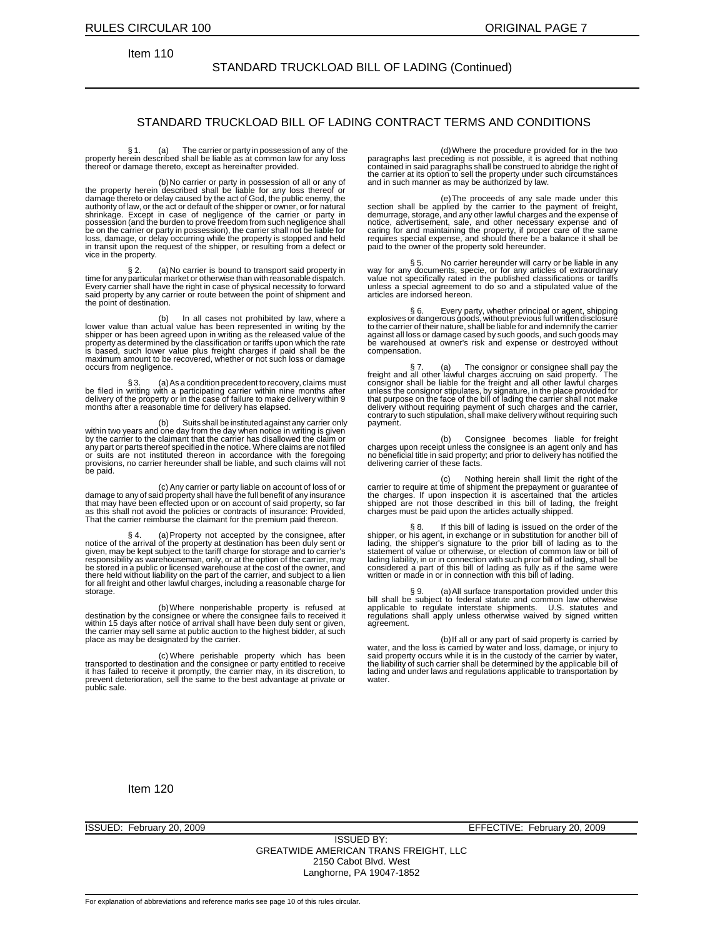#### STANDARD TRUCKLOAD BILL OF LADING (Continued)

#### STANDARD TRUCKLOAD BILL OF LADING CONTRACT TERMS AND CONDITIONS

§ 1. (a) The carrier or party in possession of any of the property herein described shall be liable as at common law for any loss thereof or damage thereto, except as hereinafter provided.

(b)No carrier or party in possession of all or any of the property herein described shall be liable for any loss thereof or damage thereto or delay caused by the act of God, the public enemy, the<br>authority of law, or the act or default of the shipper or owner, or for natural<br>shrinkage. Except in case of negligence of the carrier or party in<br>pos vice in the property.

§ 2. (a)No carrier is bound to transport said property in time for any particular market or otherwise than with reasonable dispatch. Every carrier shall have the right in case of physical necessity to forward said property by any carrier or route between the point of shipment and the point of destination.

(b) In all cases not prohibited by law, where a lower value than actual value has been represented in writing by the<br>shipper or has been agreed upon in writing as the released value of the<br>property as determined by the classification or tariffs upon which the rate<br>is ba occurs from negligence.

§ 3. (a) As a condition precedent to recovery, claims must<br>be filed in writing with a participating carrier within nine months after<br>delivery of the property or in the case of failure to make delivery within 9<br>months after

(b) Suits shall be instituted against any carrier only<br>within two years and one day from the day when notice in writing is given<br>by the carrier to the claimant that the carrier has disallowed the claim or<br>any part or parts or suits are not instituted thereon in accordance with the foregoing provisions, no carrier hereunder shall be liable, and such claims will not be paid.

(c) Any carrier or party liable on account of loss of or damage to any of said property shall have the full benefit of any insurance that may have been effected upon or on account of said property, so far as this shall not avoid the policies or contracts of insurance: Provided, That the carrier reimburse the claimant for the premium paid thereon.

§ 4. (a) Property not accepted by the consignee, after<br>given, may be kept subject to the tariff charge for storage and ly sent on<br>given, may be kept subject to the tariff charge for storage and to carrier's<br>responsibility storage.

b) Where nonperishable property is refused at<br>destination by the consignee or where the consignee fails to received it<br>within 15 days after notice of arrival shall have been duly sent or given,<br>the carrier may sell same at place as may be designated by the carrier.

c) Where perishable property which has been)<br>transported to destination and the consignee or party entitled to receive<br>it has failed to receive it promptly, the carrier may, in its discretion, to<br>prevent deterioration, sel public sale.

(d)Where the procedure provided for in the two paragraphs last preceding is not possible, it is agreed that nothing<br>contained in said paragraphs shall be construed to abridge the right of<br>the carrier at its option to sell the property under such circumstances<br>and in su

(e)The proceeds of any sale made under this section shall be applied by the carrier to the payment of freight, demurrage, storage, and any other lawful charges and the expense of<br>notice, advertisement, sale, and other necessary expense and of<br>caring for and maintaining the property, if proper care of the same<br>requires special expen

§ 5. No carrier hereunder will carry or be liable in any way for any documents, specie, or for any articles of extraordinary<br>value not specifically rated in the published classifications or tariffs<br>unless a special agreement to do so and a stipulated value of the<br>articles are in

§ 6. Every party, whether principal or agent, shipping<br>explosives or dangerous goods, without previous full written disclosure<br>to the carrier of their nature, shall be liable for and indemnify the carrier<br>against all loss compensation.

 $\S$  7. (a) The consignor or consignee shall pay the consignot and all other lawful charges accruing on said property. The consignor shall be liable for the freight and all other lawful charges unless the consignor stipula payment.

(b) Consignee becomes liable for freight charges upon receipt unless the consignee is an agent only and has no beneficial title in said property; and prior to delivery has notified the delivering carrier of these facts.

(c) Nothing herein shall limit the right of the carrier to require at time of shipment the prepayment or guarantee of the charges. If upon inspection it is ascertained that the articles shipped are not those described in this bill of lading, the freight charges must be paid upon the articles actually shipped.

§ 8. If this bill of lading is issued on the order of the shipper, or his agent, in exchange or in substitution for another bill of lading, the shipper's signature to the prior bill of lading as to the statement of value o

§ 9. (a) All surface transportation provided under this<br>bill shall be subject to federal statute and common law otherwise<br>applicable to regulate interstate shipments. U.S. statutes and<br>regulations shall apply unless otherw agreement.

(b) If all or any part of said property is carried by<br>said property occurs while it is in the custos, damage, or injury to<br>said property occurs while it is in the custody of the carrier by water,<br>the liability of such carr water

Item 120

ISSUED: February 20, 2009 EFFECTIVE: February 20, 2009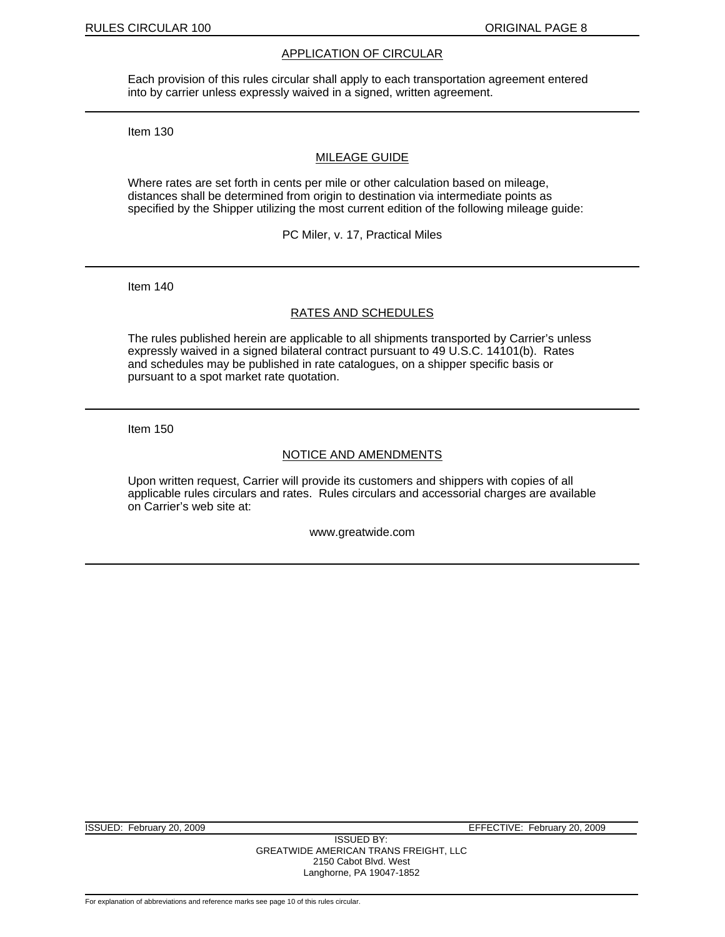# APPLICATION OF CIRCULAR

Each provision of this rules circular shall apply to each transportation agreement entered into by carrier unless expressly waived in a signed, written agreement.

Item 130

# MILEAGE GUIDE

Where rates are set forth in cents per mile or other calculation based on mileage, distances shall be determined from origin to destination via intermediate points as specified by the Shipper utilizing the most current edition of the following mileage guide:

PC Miler, v. 17, Practical Miles

Item 140

#### RATES AND SCHEDULES

The rules published herein are applicable to all shipments transported by Carrier's unless expressly waived in a signed bilateral contract pursuant to 49 U.S.C. 14101(b). Rates and schedules may be published in rate catalogues, on a shipper specific basis or pursuant to a spot market rate quotation.

Item 150

#### NOTICE AND AMENDMENTS

Upon written request, Carrier will provide its customers and shippers with copies of all applicable rules circulars and rates. Rules circulars and accessorial charges are available on Carrier's web site at:

www.greatwide.com

ISSUED: February 20, 2009 EFFECTIVE: February 20, 2009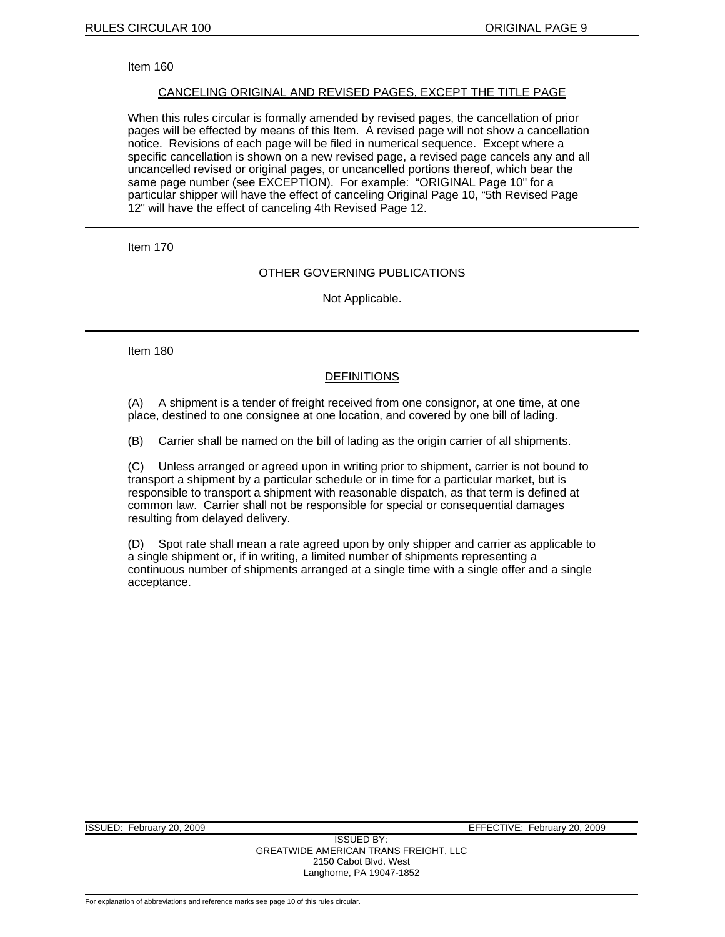#### CANCELING ORIGINAL AND REVISED PAGES, EXCEPT THE TITLE PAGE

When this rules circular is formally amended by revised pages, the cancellation of prior pages will be effected by means of this Item. A revised page will not show a cancellation notice. Revisions of each page will be filed in numerical sequence. Except where a specific cancellation is shown on a new revised page, a revised page cancels any and all uncancelled revised or original pages, or uncancelled portions thereof, which bear the same page number (see EXCEPTION). For example: "ORIGINAL Page 10" for a particular shipper will have the effect of canceling Original Page 10, "5th Revised Page 12" will have the effect of canceling 4th Revised Page 12.

Item 170

# OTHER GOVERNING PUBLICATIONS

Not Applicable.

Item 180

# DEFINITIONS

(A) A shipment is a tender of freight received from one consignor, at one time, at one place, destined to one consignee at one location, and covered by one bill of lading.

(B) Carrier shall be named on the bill of lading as the origin carrier of all shipments.

(C) Unless arranged or agreed upon in writing prior to shipment, carrier is not bound to transport a shipment by a particular schedule or in time for a particular market, but is responsible to transport a shipment with reasonable dispatch, as that term is defined at common law. Carrier shall not be responsible for special or consequential damages resulting from delayed delivery.

(D) Spot rate shall mean a rate agreed upon by only shipper and carrier as applicable to a single shipment or, if in writing, a limited number of shipments representing a continuous number of shipments arranged at a single time with a single offer and a single acceptance.

ISSUED: February 20, 2009 EFFECTIVE: February 20, 2009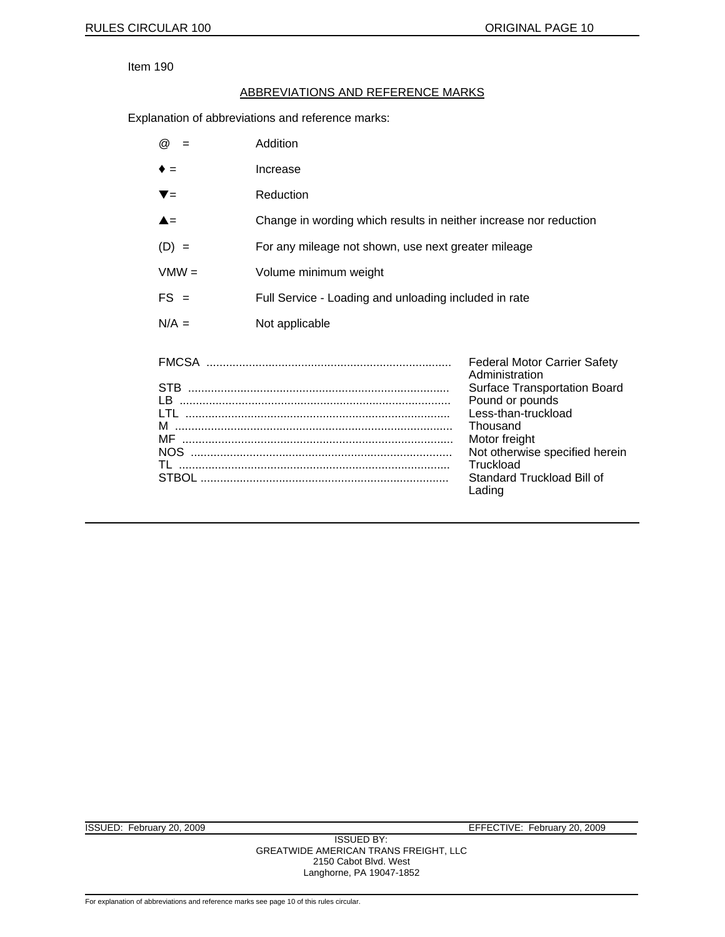# ABBREVIATIONS AND REFERENCE MARKS

Explanation of abbreviations and reference marks:

| Increase<br>$\bullet =$<br>Reduction<br>$\blacktriangledown$ $=$<br>Change in wording which results in neither increase nor reduction<br>$\triangle$ =<br>$(D) =$<br>For any mileage not shown, use next greater mileage<br>$VMW =$<br>Volume minimum weight<br>$FS =$<br>Full Service - Loading and unloading included in rate<br>$N/A =$<br>Not applicable<br><b>Federal Motor Carrier Safety</b><br>Administration<br>Pound or pounds<br>Less-than-truckload<br>Thousand<br>M …………………………………………………………………………<br>Motor freight<br>Truckload<br>Standard Truckload Bill of<br>Lading | @<br>$=$ | Addition |                                                                       |
|-------------------------------------------------------------------------------------------------------------------------------------------------------------------------------------------------------------------------------------------------------------------------------------------------------------------------------------------------------------------------------------------------------------------------------------------------------------------------------------------------------------------------------------------------------------------------------------|----------|----------|-----------------------------------------------------------------------|
|                                                                                                                                                                                                                                                                                                                                                                                                                                                                                                                                                                                     |          |          |                                                                       |
|                                                                                                                                                                                                                                                                                                                                                                                                                                                                                                                                                                                     |          |          |                                                                       |
|                                                                                                                                                                                                                                                                                                                                                                                                                                                                                                                                                                                     |          |          |                                                                       |
|                                                                                                                                                                                                                                                                                                                                                                                                                                                                                                                                                                                     |          |          |                                                                       |
|                                                                                                                                                                                                                                                                                                                                                                                                                                                                                                                                                                                     |          |          |                                                                       |
|                                                                                                                                                                                                                                                                                                                                                                                                                                                                                                                                                                                     |          |          |                                                                       |
|                                                                                                                                                                                                                                                                                                                                                                                                                                                                                                                                                                                     |          |          |                                                                       |
|                                                                                                                                                                                                                                                                                                                                                                                                                                                                                                                                                                                     |          |          | <b>Surface Transportation Board</b><br>Not otherwise specified herein |

ISSUED: February 20, 2009 EFFECTIVE: February 20, 2009

ISSUED BY: GREATWIDE AMERICAN TRANS FREIGHT, LLC 2150 Cabot Blvd. West Langhorne, PA 19047-1852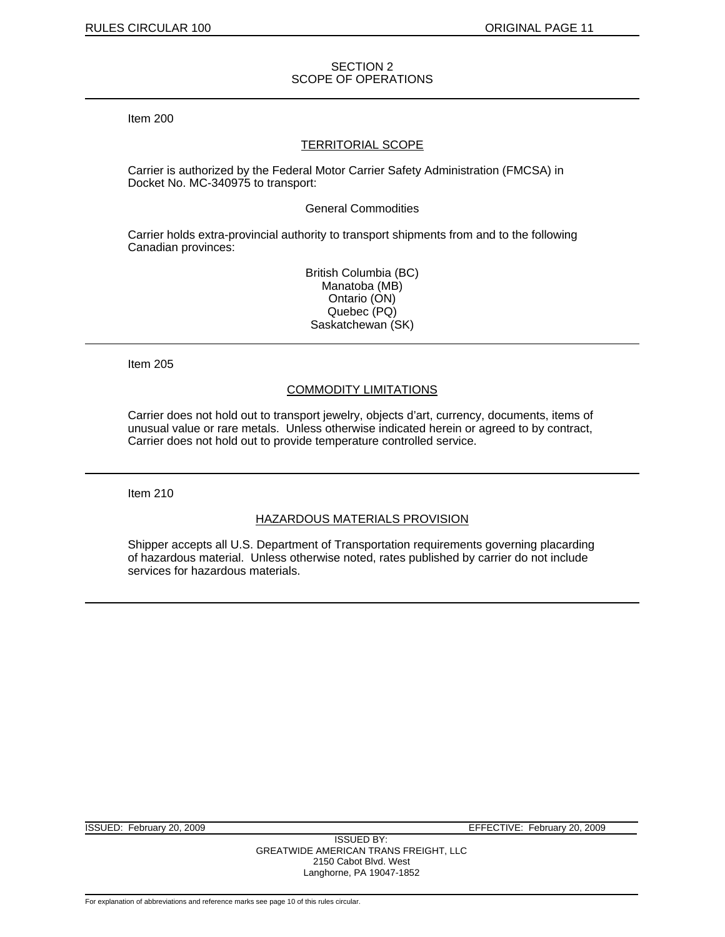### SECTION 2 SCOPE OF OPERATIONS

Item 200

# TERRITORIAL SCOPE

Carrier is authorized by the Federal Motor Carrier Safety Administration (FMCSA) in Docket No. MC-340975 to transport:

General Commodities

Carrier holds extra-provincial authority to transport shipments from and to the following Canadian provinces:

> British Columbia (BC) Manatoba (MB) Ontario (ON) Quebec (PQ) Saskatchewan (SK)

Item 205

# COMMODITY LIMITATIONS

Carrier does not hold out to transport jewelry, objects d'art, currency, documents, items of unusual value or rare metals. Unless otherwise indicated herein or agreed to by contract, Carrier does not hold out to provide temperature controlled service.

Item 210

# HAZARDOUS MATERIALS PROVISION

Shipper accepts all U.S. Department of Transportation requirements governing placarding of hazardous material. Unless otherwise noted, rates published by carrier do not include services for hazardous materials.

ISSUED: February 20, 2009 EFFECTIVE: February 20, 2009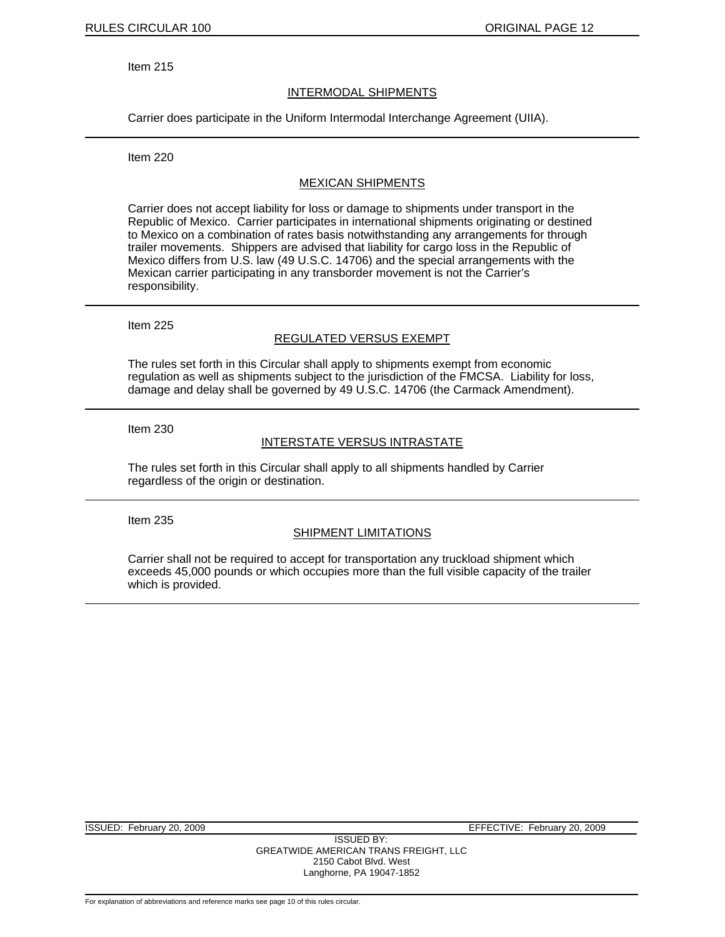# INTERMODAL SHIPMENTS

Carrier does participate in the Uniform Intermodal Interchange Agreement (UIIA).

Item 220

### MEXICAN SHIPMENTS

Carrier does not accept liability for loss or damage to shipments under transport in the Republic of Mexico. Carrier participates in international shipments originating or destined to Mexico on a combination of rates basis notwithstanding any arrangements for through trailer movements. Shippers are advised that liability for cargo loss in the Republic of Mexico differs from U.S. law (49 U.S.C. 14706) and the special arrangements with the Mexican carrier participating in any transborder movement is not the Carrier's responsibility.

Item 225

# REGULATED VERSUS EXEMPT

The rules set forth in this Circular shall apply to shipments exempt from economic regulation as well as shipments subject to the jurisdiction of the FMCSA. Liability for loss, damage and delay shall be governed by 49 U.S.C. 14706 (the Carmack Amendment).

Item 230

#### INTERSTATE VERSUS INTRASTATE

The rules set forth in this Circular shall apply to all shipments handled by Carrier regardless of the origin or destination.

Item 235

# SHIPMENT LIMITATIONS

Carrier shall not be required to accept for transportation any truckload shipment which exceeds 45,000 pounds or which occupies more than the full visible capacity of the trailer which is provided.

ISSUED: February 20, 2009 EFFECTIVE: February 20, 2009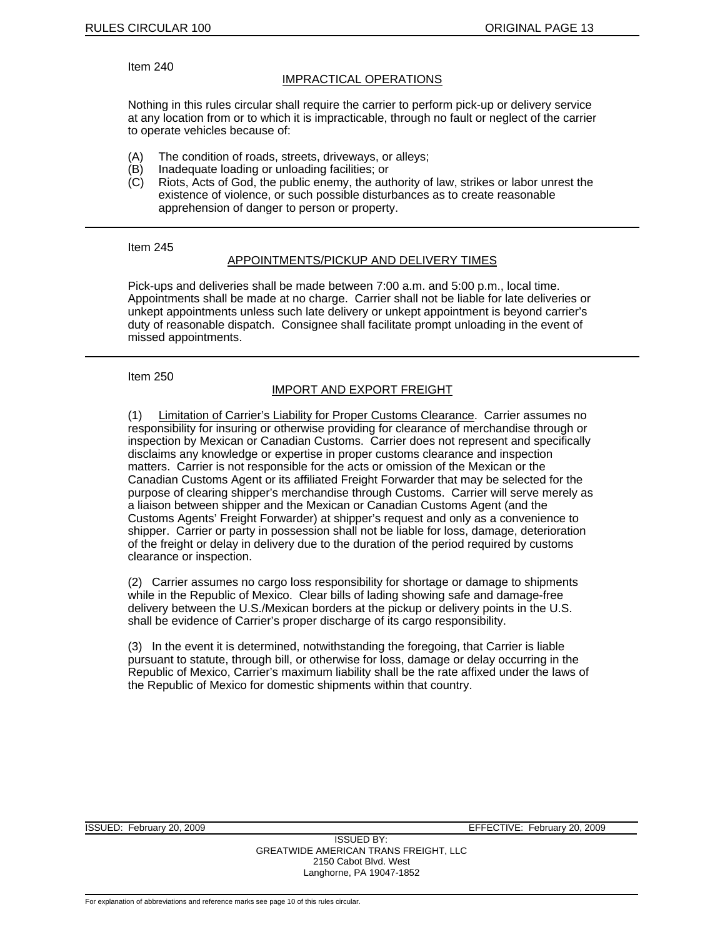# IMPRACTICAL OPERATIONS

Nothing in this rules circular shall require the carrier to perform pick-up or delivery service at any location from or to which it is impracticable, through no fault or neglect of the carrier to operate vehicles because of:

- (A) The condition of roads, streets, driveways, or alleys;<br>(B) Inadequate loading or unloading facilities; or
- Inadequate loading or unloading facilities; or
- (C) Riots, Acts of God, the public enemy, the authority of law, strikes or labor unrest the existence of violence, or such possible disturbances as to create reasonable apprehension of danger to person or property.

Item 245

# APPOINTMENTS/PICKUP AND DELIVERY TIMES

Pick-ups and deliveries shall be made between 7:00 a.m. and 5:00 p.m., local time. Appointments shall be made at no charge. Carrier shall not be liable for late deliveries or unkept appointments unless such late delivery or unkept appointment is beyond carrier's duty of reasonable dispatch. Consignee shall facilitate prompt unloading in the event of missed appointments.

Item 250

# IMPORT AND EXPORT FREIGHT

(1) Limitation of Carrier's Liability for Proper Customs Clearance. Carrier assumes no responsibility for insuring or otherwise providing for clearance of merchandise through or inspection by Mexican or Canadian Customs. Carrier does not represent and specifically disclaims any knowledge or expertise in proper customs clearance and inspection matters. Carrier is not responsible for the acts or omission of the Mexican or the Canadian Customs Agent or its affiliated Freight Forwarder that may be selected for the purpose of clearing shipper's merchandise through Customs. Carrier will serve merely as a liaison between shipper and the Mexican or Canadian Customs Agent (and the Customs Agents' Freight Forwarder) at shipper's request and only as a convenience to shipper. Carrier or party in possession shall not be liable for loss, damage, deterioration of the freight or delay in delivery due to the duration of the period required by customs clearance or inspection.

(2) Carrier assumes no cargo loss responsibility for shortage or damage to shipments while in the Republic of Mexico. Clear bills of lading showing safe and damage-free delivery between the U.S./Mexican borders at the pickup or delivery points in the U.S. shall be evidence of Carrier's proper discharge of its cargo responsibility.

(3) In the event it is determined, notwithstanding the foregoing, that Carrier is liable pursuant to statute, through bill, or otherwise for loss, damage or delay occurring in the Republic of Mexico, Carrier's maximum liability shall be the rate affixed under the laws of the Republic of Mexico for domestic shipments within that country.

ISSUED: February 20, 2009 EFFECTIVE: February 20, 2009

ISSUED BY: GREATWIDE AMERICAN TRANS FREIGHT, LLC 2150 Cabot Blvd. West Langhorne, PA 19047-1852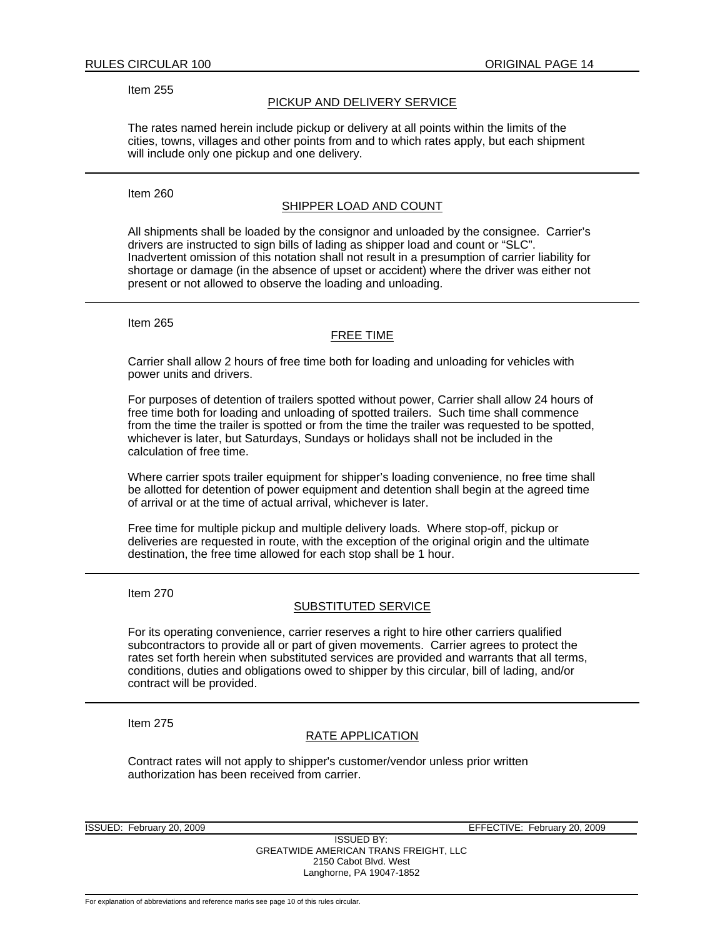#### PICKUP AND DELIVERY SERVICE

The rates named herein include pickup or delivery at all points within the limits of the cities, towns, villages and other points from and to which rates apply, but each shipment will include only one pickup and one delivery.

Item 260

#### SHIPPER LOAD AND COUNT

All shipments shall be loaded by the consignor and unloaded by the consignee. Carrier's drivers are instructed to sign bills of lading as shipper load and count or "SLC". Inadvertent omission of this notation shall not result in a presumption of carrier liability for shortage or damage (in the absence of upset or accident) where the driver was either not present or not allowed to observe the loading and unloading.

Item 265

#### FREE TIME

Carrier shall allow 2 hours of free time both for loading and unloading for vehicles with power units and drivers.

For purposes of detention of trailers spotted without power, Carrier shall allow 24 hours of free time both for loading and unloading of spotted trailers. Such time shall commence from the time the trailer is spotted or from the time the trailer was requested to be spotted, whichever is later, but Saturdays, Sundays or holidays shall not be included in the calculation of free time.

Where carrier spots trailer equipment for shipper's loading convenience, no free time shall be allotted for detention of power equipment and detention shall begin at the agreed time of arrival or at the time of actual arrival, whichever is later.

Free time for multiple pickup and multiple delivery loads. Where stop-off, pickup or deliveries are requested in route, with the exception of the original origin and the ultimate destination, the free time allowed for each stop shall be 1 hour.

Item 270

# SUBSTITUTED SERVICE

For its operating convenience, carrier reserves a right to hire other carriers qualified subcontractors to provide all or part of given movements. Carrier agrees to protect the rates set forth herein when substituted services are provided and warrants that all terms, conditions, duties and obligations owed to shipper by this circular, bill of lading, and/or contract will be provided.

Item 275

# RATE APPLICATION

Contract rates will not apply to shipper's customer/vendor unless prior written authorization has been received from carrier.

ISSUED: February 20, 2009 EFFECTIVE: February 20, 2009

ISSUED BY: GREATWIDE AMERICAN TRANS FREIGHT, LLC 2150 Cabot Blvd. West Langhorne, PA 19047-1852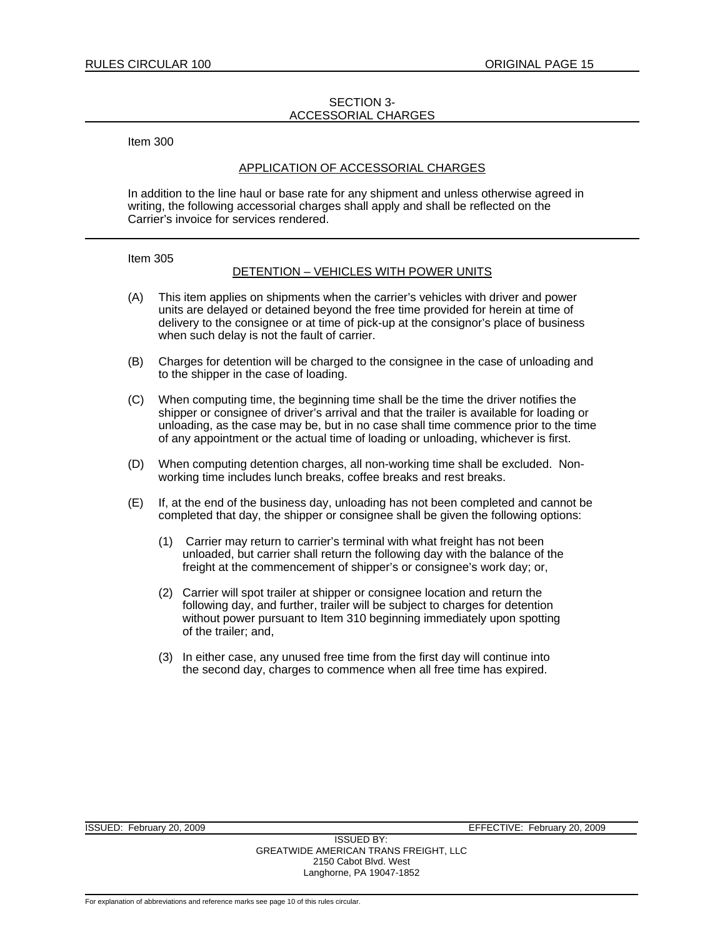#### SECTION 3- ACCESSORIAL CHARGES

Item 300

# APPLICATION OF ACCESSORIAL CHARGES

In addition to the line haul or base rate for any shipment and unless otherwise agreed in writing, the following accessorial charges shall apply and shall be reflected on the Carrier's invoice for services rendered.

#### Item 305

# DETENTION – VEHICLES WITH POWER UNITS

- (A) This item applies on shipments when the carrier's vehicles with driver and power units are delayed or detained beyond the free time provided for herein at time of delivery to the consignee or at time of pick-up at the consignor's place of business when such delay is not the fault of carrier.
- (B) Charges for detention will be charged to the consignee in the case of unloading and to the shipper in the case of loading.
- (C) When computing time, the beginning time shall be the time the driver notifies the shipper or consignee of driver's arrival and that the trailer is available for loading or unloading, as the case may be, but in no case shall time commence prior to the time of any appointment or the actual time of loading or unloading, whichever is first.
- (D) When computing detention charges, all non-working time shall be excluded. Nonworking time includes lunch breaks, coffee breaks and rest breaks.
- (E) If, at the end of the business day, unloading has not been completed and cannot be completed that day, the shipper or consignee shall be given the following options:
	- (1) Carrier may return to carrier's terminal with what freight has not been unloaded, but carrier shall return the following day with the balance of the freight at the commencement of shipper's or consignee's work day; or,
	- (2) Carrier will spot trailer at shipper or consignee location and return the following day, and further, trailer will be subject to charges for detention without power pursuant to Item 310 beginning immediately upon spotting of the trailer; and,
	- (3) In either case, any unused free time from the first day will continue into the second day, charges to commence when all free time has expired.

ISSUED: February 20, 2009 EFFECTIVE: February 20, 2009

ISSUED BY: GREATWIDE AMERICAN TRANS FREIGHT, LLC 2150 Cabot Blvd. West Langhorne, PA 19047-1852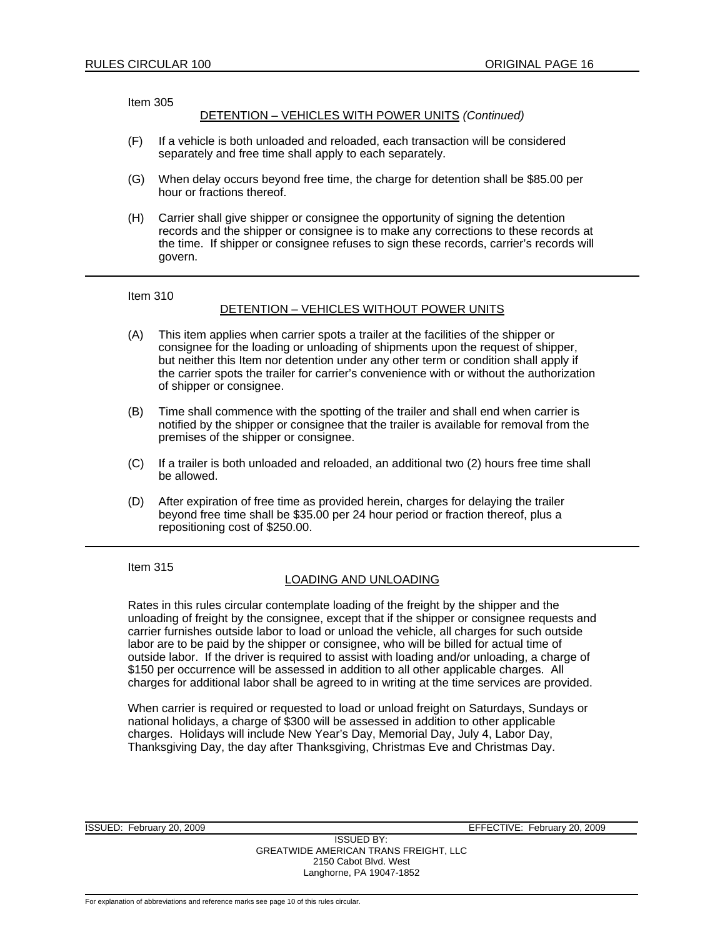### DETENTION – VEHICLES WITH POWER UNITS *(Continued)*

- (F) If a vehicle is both unloaded and reloaded, each transaction will be considered separately and free time shall apply to each separately.
- (G) When delay occurs beyond free time, the charge for detention shall be \$85.00 per hour or fractions thereof.
- (H) Carrier shall give shipper or consignee the opportunity of signing the detention records and the shipper or consignee is to make any corrections to these records at the time. If shipper or consignee refuses to sign these records, carrier's records will govern.

Item 310

### DETENTION – VEHICLES WITHOUT POWER UNITS

- (A) This item applies when carrier spots a trailer at the facilities of the shipper or consignee for the loading or unloading of shipments upon the request of shipper, but neither this Item nor detention under any other term or condition shall apply if the carrier spots the trailer for carrier's convenience with or without the authorization of shipper or consignee.
- (B) Time shall commence with the spotting of the trailer and shall end when carrier is notified by the shipper or consignee that the trailer is available for removal from the premises of the shipper or consignee.
- (C) If a trailer is both unloaded and reloaded, an additional two (2) hours free time shall be allowed.
- (D) After expiration of free time as provided herein, charges for delaying the trailer beyond free time shall be \$35.00 per 24 hour period or fraction thereof, plus a repositioning cost of \$250.00.

Item 315

# LOADING AND UNLOADING

Rates in this rules circular contemplate loading of the freight by the shipper and the unloading of freight by the consignee, except that if the shipper or consignee requests and carrier furnishes outside labor to load or unload the vehicle, all charges for such outside labor are to be paid by the shipper or consignee, who will be billed for actual time of outside labor. If the driver is required to assist with loading and/or unloading, a charge of \$150 per occurrence will be assessed in addition to all other applicable charges. All charges for additional labor shall be agreed to in writing at the time services are provided.

When carrier is required or requested to load or unload freight on Saturdays, Sundays or national holidays, a charge of \$300 will be assessed in addition to other applicable charges. Holidays will include New Year's Day, Memorial Day, July 4, Labor Day, Thanksgiving Day, the day after Thanksgiving, Christmas Eve and Christmas Day.

ISSUED: February 20, 2009 EFFECTIVE: February 20, 2009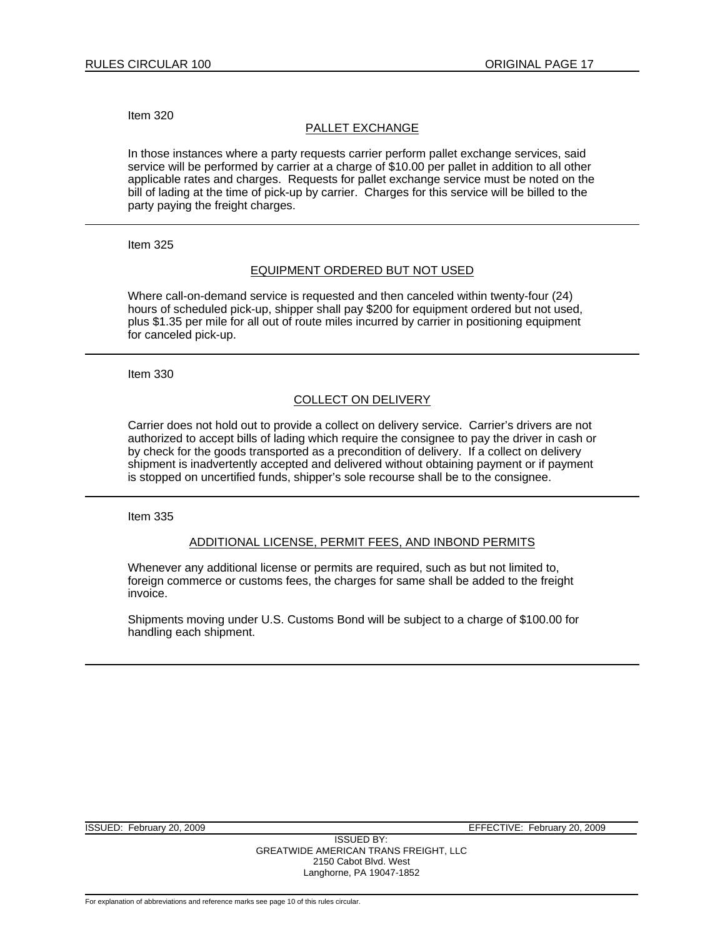### PALLET EXCHANGE

In those instances where a party requests carrier perform pallet exchange services, said service will be performed by carrier at a charge of \$10.00 per pallet in addition to all other applicable rates and charges. Requests for pallet exchange service must be noted on the bill of lading at the time of pick-up by carrier. Charges for this service will be billed to the party paying the freight charges.

Item 325

# EQUIPMENT ORDERED BUT NOT USED

Where call-on-demand service is requested and then canceled within twenty-four (24) hours of scheduled pick-up, shipper shall pay \$200 for equipment ordered but not used, plus \$1.35 per mile for all out of route miles incurred by carrier in positioning equipment for canceled pick-up.

Item 330

# COLLECT ON DELIVERY

Carrier does not hold out to provide a collect on delivery service. Carrier's drivers are not authorized to accept bills of lading which require the consignee to pay the driver in cash or by check for the goods transported as a precondition of delivery. If a collect on delivery shipment is inadvertently accepted and delivered without obtaining payment or if payment is stopped on uncertified funds, shipper's sole recourse shall be to the consignee.

Item 335

# ADDITIONAL LICENSE, PERMIT FEES, AND INBOND PERMITS

Whenever any additional license or permits are required, such as but not limited to, foreign commerce or customs fees, the charges for same shall be added to the freight invoice.

Shipments moving under U.S. Customs Bond will be subject to a charge of \$100.00 for handling each shipment.

ISSUED: February 20, 2009 EFFECTIVE: February 20, 2009

ISSUED BY: GREATWIDE AMERICAN TRANS FREIGHT, LLC 2150 Cabot Blvd. West Langhorne, PA 19047-1852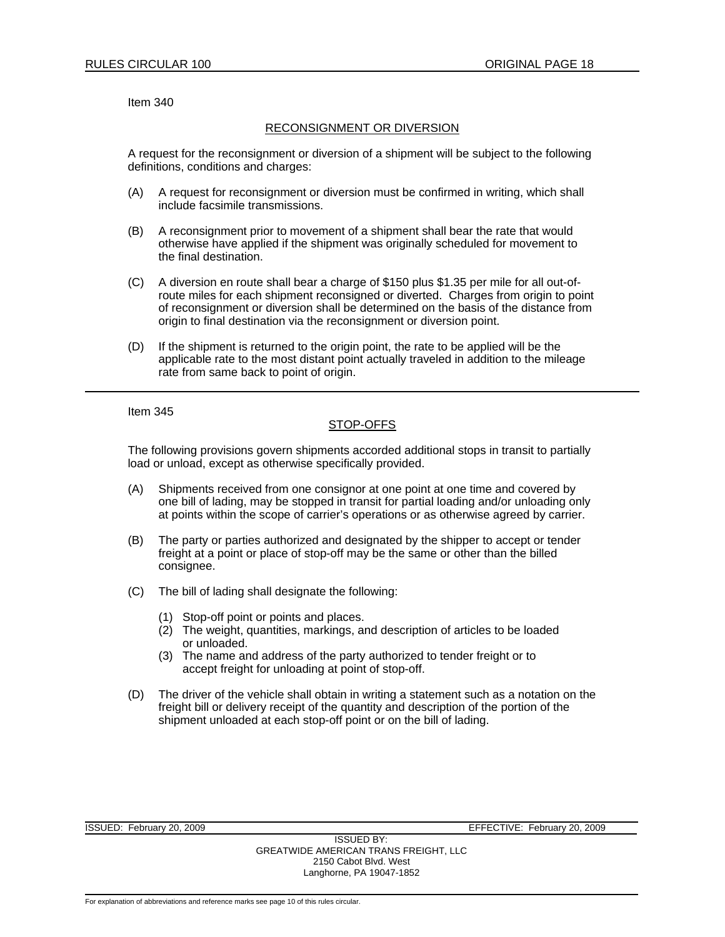### RECONSIGNMENT OR DIVERSION

A request for the reconsignment or diversion of a shipment will be subject to the following definitions, conditions and charges:

- (A) A request for reconsignment or diversion must be confirmed in writing, which shall include facsimile transmissions.
- (B) A reconsignment prior to movement of a shipment shall bear the rate that would otherwise have applied if the shipment was originally scheduled for movement to the final destination.
- (C) A diversion en route shall bear a charge of \$150 plus \$1.35 per mile for all out-ofroute miles for each shipment reconsigned or diverted. Charges from origin to point of reconsignment or diversion shall be determined on the basis of the distance from origin to final destination via the reconsignment or diversion point.
- (D) If the shipment is returned to the origin point, the rate to be applied will be the applicable rate to the most distant point actually traveled in addition to the mileage rate from same back to point of origin.

Item 345

### STOP-OFFS

The following provisions govern shipments accorded additional stops in transit to partially load or unload, except as otherwise specifically provided.

- (A) Shipments received from one consignor at one point at one time and covered by one bill of lading, may be stopped in transit for partial loading and/or unloading only at points within the scope of carrier's operations or as otherwise agreed by carrier.
- (B) The party or parties authorized and designated by the shipper to accept or tender freight at a point or place of stop-off may be the same or other than the billed consignee.
- (C) The bill of lading shall designate the following:
	- (1) Stop-off point or points and places.
	- (2) The weight, quantities, markings, and description of articles to be loaded or unloaded.
	- (3) The name and address of the party authorized to tender freight or to accept freight for unloading at point of stop-off.
- (D) The driver of the vehicle shall obtain in writing a statement such as a notation on the freight bill or delivery receipt of the quantity and description of the portion of the shipment unloaded at each stop-off point or on the bill of lading.

ISSUED: February 20, 2009 EFFECTIVE: February 20, 2009

ISSUED BY: GREATWIDE AMERICAN TRANS FREIGHT, LLC 2150 Cabot Blvd. West Langhorne, PA 19047-1852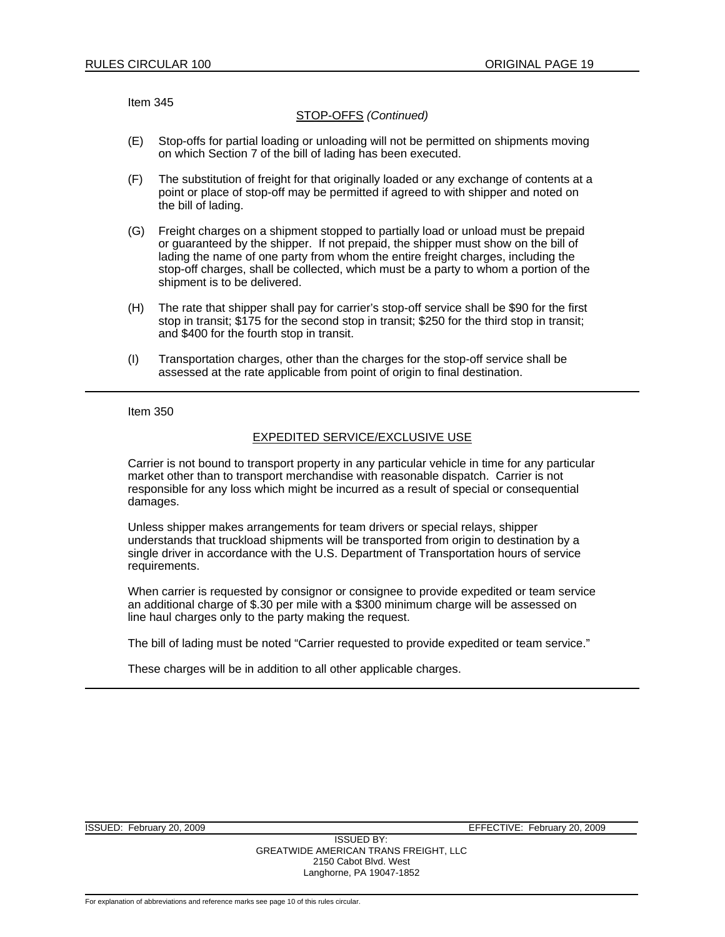#### STOP-OFFS *(Continued)*

- (E) Stop-offs for partial loading or unloading will not be permitted on shipments moving on which Section 7 of the bill of lading has been executed.
- (F) The substitution of freight for that originally loaded or any exchange of contents at a point or place of stop-off may be permitted if agreed to with shipper and noted on the bill of lading.
- (G) Freight charges on a shipment stopped to partially load or unload must be prepaid or guaranteed by the shipper. If not prepaid, the shipper must show on the bill of lading the name of one party from whom the entire freight charges, including the stop-off charges, shall be collected, which must be a party to whom a portion of the shipment is to be delivered.
- (H) The rate that shipper shall pay for carrier's stop-off service shall be \$90 for the first stop in transit; \$175 for the second stop in transit; \$250 for the third stop in transit; and \$400 for the fourth stop in transit.
- (I) Transportation charges, other than the charges for the stop-off service shall be assessed at the rate applicable from point of origin to final destination.

Item 350

#### EXPEDITED SERVICE/EXCLUSIVE USE

Carrier is not bound to transport property in any particular vehicle in time for any particular market other than to transport merchandise with reasonable dispatch. Carrier is not responsible for any loss which might be incurred as a result of special or consequential damages.

Unless shipper makes arrangements for team drivers or special relays, shipper understands that truckload shipments will be transported from origin to destination by a single driver in accordance with the U.S. Department of Transportation hours of service requirements.

When carrier is requested by consignor or consignee to provide expedited or team service an additional charge of \$.30 per mile with a \$300 minimum charge will be assessed on line haul charges only to the party making the request.

The bill of lading must be noted "Carrier requested to provide expedited or team service."

These charges will be in addition to all other applicable charges.

ISSUED: February 20, 2009 EFFECTIVE: February 20, 2009

ISSUED BY: GREATWIDE AMERICAN TRANS FREIGHT, LLC 2150 Cabot Blvd. West Langhorne, PA 19047-1852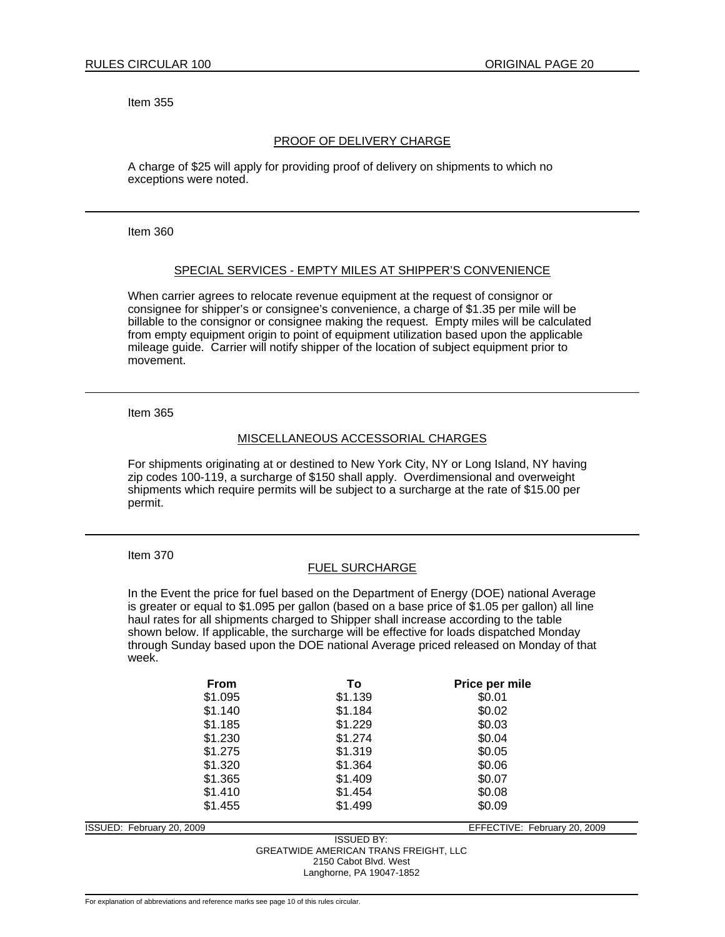# PROOF OF DELIVERY CHARGE

A charge of \$25 will apply for providing proof of delivery on shipments to which no exceptions were noted.

Item 360

# SPECIAL SERVICES - EMPTY MILES AT SHIPPER'S CONVENIENCE

When carrier agrees to relocate revenue equipment at the request of consignor or consignee for shipper's or consignee's convenience, a charge of \$1.35 per mile will be billable to the consignor or consignee making the request. Empty miles will be calculated from empty equipment origin to point of equipment utilization based upon the applicable mileage guide. Carrier will notify shipper of the location of subject equipment prior to movement.

Item 365

# MISCELLANEOUS ACCESSORIAL CHARGES

For shipments originating at or destined to New York City, NY or Long Island, NY having zip codes 100-119, a surcharge of \$150 shall apply. Overdimensional and overweight shipments which require permits will be subject to a surcharge at the rate of \$15.00 per permit.

Item 370

# FUEL SURCHARGE

In the Event the price for fuel based on the Department of Energy (DOE) national Average is greater or equal to \$1.095 per gallon (based on a base price of \$1.05 per gallon) all line haul rates for all shipments charged to Shipper shall increase according to the table shown below. If applicable, the surcharge will be effective for loads dispatched Monday through Sunday based upon the DOE national Average priced released on Monday of that week.

| <b>From</b>               | Τo      | Price per mile               |
|---------------------------|---------|------------------------------|
| \$1.095                   | \$1.139 | \$0.01                       |
| \$1.140                   | \$1.184 | \$0.02                       |
| \$1.185                   | \$1.229 | \$0.03                       |
| \$1.230                   | \$1.274 | \$0.04                       |
| \$1.275                   | \$1.319 | \$0.05                       |
| \$1.320                   | \$1.364 | \$0.06                       |
| \$1.365                   | \$1.409 | \$0.07                       |
| \$1.410                   | \$1.454 | \$0.08                       |
| \$1.455                   | \$1.499 | \$0.09                       |
| ISSUED: February 20, 2009 |         | EFFECTIVE: February 20, 2009 |

ISSUED BY:

GREATWIDE AMERICAN TRANS FREIGHT, LLC 2150 Cabot Blvd. West Langhorne, PA 19047-1852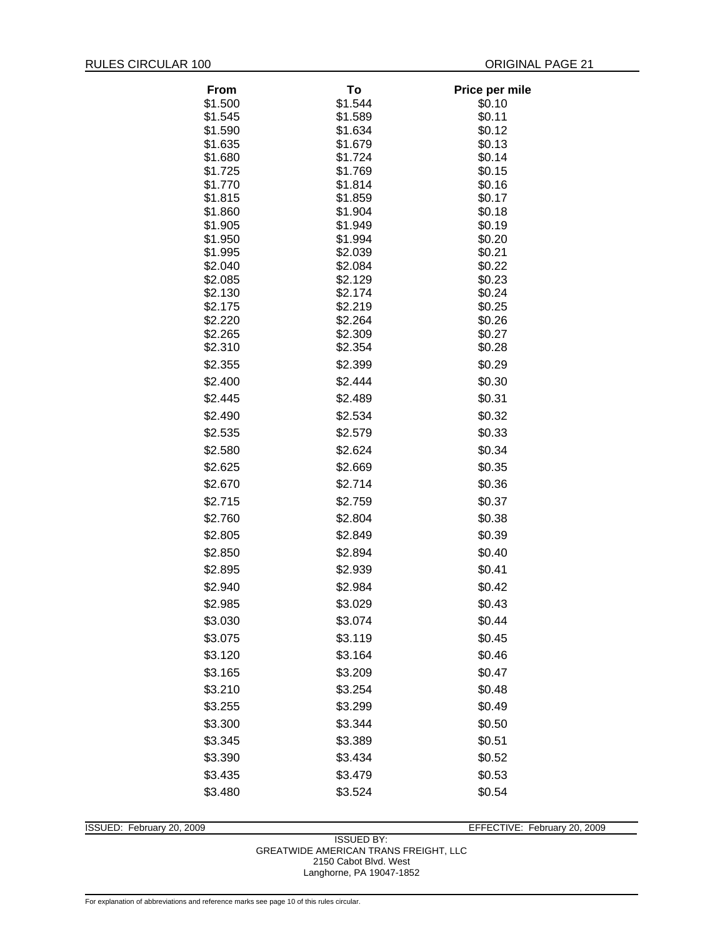| From               | To                 | Price per mile   |
|--------------------|--------------------|------------------|
| \$1.500            | \$1.544            | \$0.10           |
| \$1.545            | \$1.589            | \$0.11           |
| \$1.590            | \$1.634            | \$0.12           |
| \$1.635<br>\$1.680 | \$1.679<br>\$1.724 | \$0.13<br>\$0.14 |
| \$1.725            | \$1.769            | \$0.15           |
| \$1.770            | \$1.814            | \$0.16           |
| \$1.815            | \$1.859            | \$0.17           |
| \$1.860            | \$1.904            | \$0.18           |
| \$1.905<br>\$1.950 | \$1.949<br>\$1.994 | \$0.19<br>\$0.20 |
| \$1.995            | \$2.039            | \$0.21           |
| \$2.040            | \$2.084            | \$0.22           |
| \$2.085            | \$2.129            | \$0.23           |
| \$2.130            | \$2.174            | \$0.24           |
| \$2.175<br>\$2.220 | \$2.219<br>\$2.264 | \$0.25<br>\$0.26 |
| \$2.265            | \$2.309            | \$0.27           |
| \$2.310            | \$2.354            | \$0.28           |
| \$2.355            | \$2.399            | \$0.29           |
| \$2.400            | \$2.444            | \$0.30           |
| \$2.445            | \$2.489            | \$0.31           |
| \$2.490            | \$2.534            | \$0.32           |
| \$2.535            | \$2.579            | \$0.33           |
| \$2.580            | \$2.624            | \$0.34           |
| \$2.625            | \$2.669            | \$0.35           |
| \$2.670            | \$2.714            | \$0.36           |
| \$2.715            | \$2.759            | \$0.37           |
| \$2.760            | \$2.804            | \$0.38           |
| \$2.805            | \$2.849            | \$0.39           |
| \$2.850            | \$2.894            | \$0.40           |
| \$2.895            | \$2.939            | \$0.41           |
| \$2.940            | \$2.984            | \$0.42           |
| \$2.985            | \$3.029            | \$0.43           |
| \$3.030            | \$3.074            | \$0.44           |
| \$3.075            | \$3.119            | \$0.45           |
| \$3.120            | \$3.164            | \$0.46           |
| \$3.165            | \$3.209            | \$0.47           |
| \$3.210            | \$3.254            | \$0.48           |
| \$3.255            | \$3.299            | \$0.49           |
| \$3.300            | \$3.344            | \$0.50           |
| \$3.345            | \$3.389            | \$0.51           |
| \$3.390            | \$3.434            | \$0.52           |
| \$3.435            | \$3.479            | \$0.53           |
| \$3.480            | \$3.524            | \$0.54           |

ISSUED: February 20, 2009 EFFECTIVE: February 20, 2009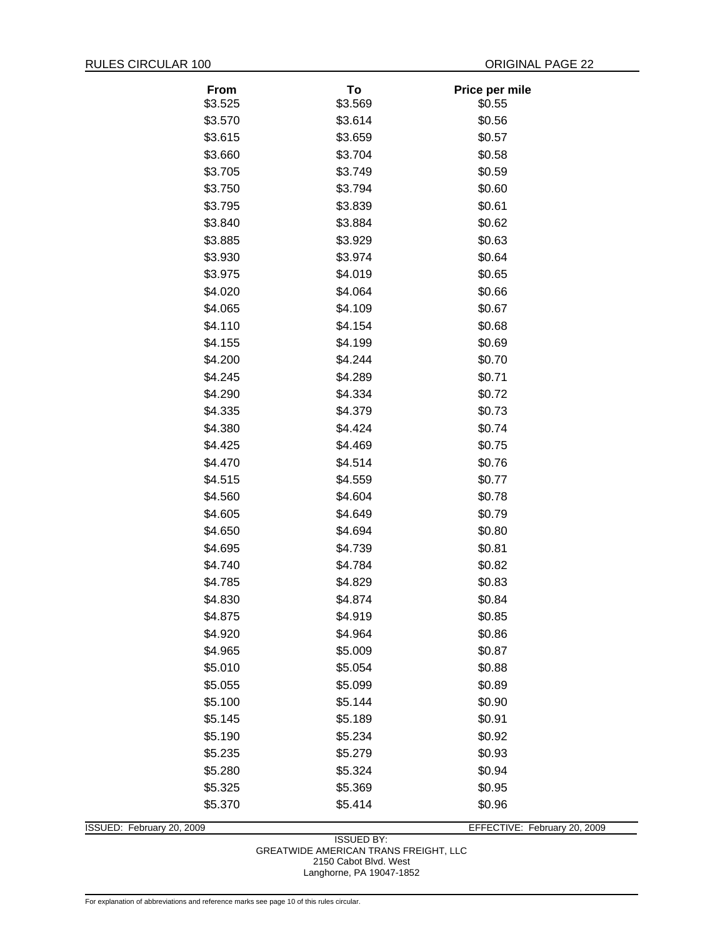| From<br>\$3.525           | To<br>\$3.569 | Price per mile<br>\$0.55     |
|---------------------------|---------------|------------------------------|
| \$3.570                   | \$3.614       | \$0.56                       |
| \$3.615                   | \$3.659       | \$0.57                       |
| \$3.660                   | \$3.704       | \$0.58                       |
| \$3.705                   | \$3.749       | \$0.59                       |
| \$3.750                   | \$3.794       | \$0.60                       |
| \$3.795                   | \$3.839       | \$0.61                       |
| \$3.840                   | \$3.884       | \$0.62                       |
| \$3.885                   | \$3.929       | \$0.63                       |
| \$3.930                   | \$3.974       | \$0.64                       |
| \$3.975                   | \$4.019       | \$0.65                       |
| \$4.020                   | \$4.064       | \$0.66                       |
| \$4.065                   | \$4.109       | \$0.67                       |
| \$4.110                   | \$4.154       | \$0.68                       |
| \$4.155                   | \$4.199       | \$0.69                       |
| \$4.200                   | \$4.244       | \$0.70                       |
| \$4.245                   | \$4.289       | \$0.71                       |
| \$4.290                   | \$4.334       | \$0.72                       |
| \$4.335                   | \$4.379       | \$0.73                       |
| \$4.380                   | \$4.424       | \$0.74                       |
| \$4.425                   | \$4.469       | \$0.75                       |
| \$4.470                   | \$4.514       | \$0.76                       |
| \$4.515                   | \$4.559       | \$0.77                       |
| \$4.560                   | \$4.604       | \$0.78                       |
| \$4.605                   | \$4.649       | \$0.79                       |
| \$4.650                   | \$4.694       | \$0.80                       |
| \$4.695                   | \$4.739       | \$0.81                       |
| \$4.740                   | \$4.784       | \$0.82                       |
| \$4.785                   | \$4.829       | \$0.83                       |
| \$4.830                   | \$4.874       | \$0.84                       |
| \$4.875                   | \$4.919       | \$0.85                       |
| \$4.920                   | \$4.964       | \$0.86                       |
| \$4.965                   | \$5.009       | \$0.87                       |
| \$5.010                   | \$5.054       | \$0.88                       |
| \$5.055                   | \$5.099       | \$0.89                       |
| \$5.100                   | \$5.144       | \$0.90                       |
| \$5.145                   | \$5.189       | \$0.91                       |
| \$5.190                   | \$5.234       | \$0.92                       |
| \$5.235                   | \$5.279       | \$0.93                       |
| \$5.280                   | \$5.324       | \$0.94                       |
| \$5.325                   | \$5.369       | \$0.95                       |
| \$5.370                   | \$5.414       | \$0.96                       |
| ISSUED: February 20, 2009 |               | EFFECTIVE: February 20, 2009 |

ISSUED BY:

GREATWIDE AMERICAN TRANS FREIGHT, LLC 2150 Cabot Blvd. West

Langhorne, PA 19047-1852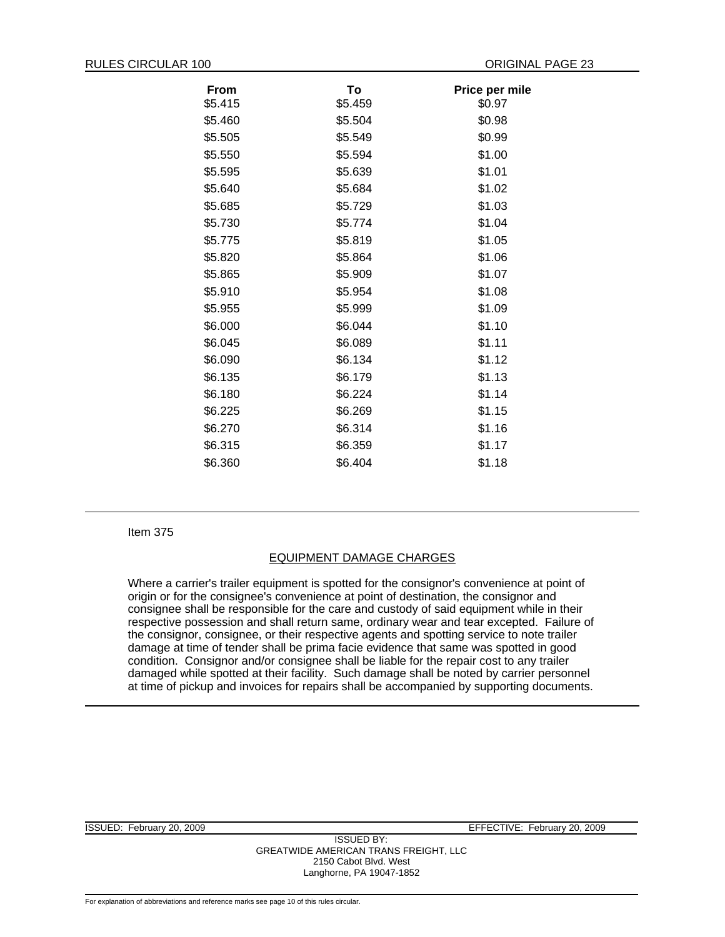| From<br>\$5.415 | To<br>\$5.459 | Price per mile<br>\$0.97 |
|-----------------|---------------|--------------------------|
| \$5.460         | \$5.504       | \$0.98                   |
| \$5.505         | \$5.549       | \$0.99                   |
| \$5.550         | \$5.594       | \$1.00                   |
| \$5.595         | \$5.639       | \$1.01                   |
| \$5.640         | \$5.684       | \$1.02                   |
| \$5.685         | \$5.729       | \$1.03                   |
| \$5.730         | \$5.774       | \$1.04                   |
| \$5.775         | \$5.819       | \$1.05                   |
| \$5.820         | \$5.864       | \$1.06                   |
| \$5.865         | \$5.909       | \$1.07                   |
| \$5.910         | \$5.954       | \$1.08                   |
| \$5.955         | \$5.999       | \$1.09                   |
| \$6.000         | \$6.044       | \$1.10                   |
| \$6.045         | \$6.089       | \$1.11                   |
| \$6.090         | \$6.134       | \$1.12                   |
| \$6.135         | \$6.179       | \$1.13                   |
| \$6.180         | \$6.224       | \$1.14                   |
| \$6.225         | \$6.269       | \$1.15                   |
| \$6.270         | \$6.314       | \$1.16                   |
| \$6.315         | \$6.359       | \$1.17                   |
| \$6.360         | \$6.404       | \$1.18                   |

### EQUIPMENT DAMAGE CHARGES

Where a carrier's trailer equipment is spotted for the consignor's convenience at point of origin or for the consignee's convenience at point of destination, the consignor and consignee shall be responsible for the care and custody of said equipment while in their respective possession and shall return same, ordinary wear and tear excepted. Failure of the consignor, consignee, or their respective agents and spotting service to note trailer damage at time of tender shall be prima facie evidence that same was spotted in good condition. Consignor and/or consignee shall be liable for the repair cost to any trailer damaged while spotted at their facility. Such damage shall be noted by carrier personnel at time of pickup and invoices for repairs shall be accompanied by supporting documents.

| ISSUED: February 20, 2009 | EFFECTIVE: February 20, 2009          |
|---------------------------|---------------------------------------|
|                           | <b>ISSUED BY:</b>                     |
|                           | GREATWIDE AMERICAN TRANS FREIGHT, LLC |
|                           | 2150 Cabot Blvd. West                 |
|                           | Langhorne, PA 19047-1852              |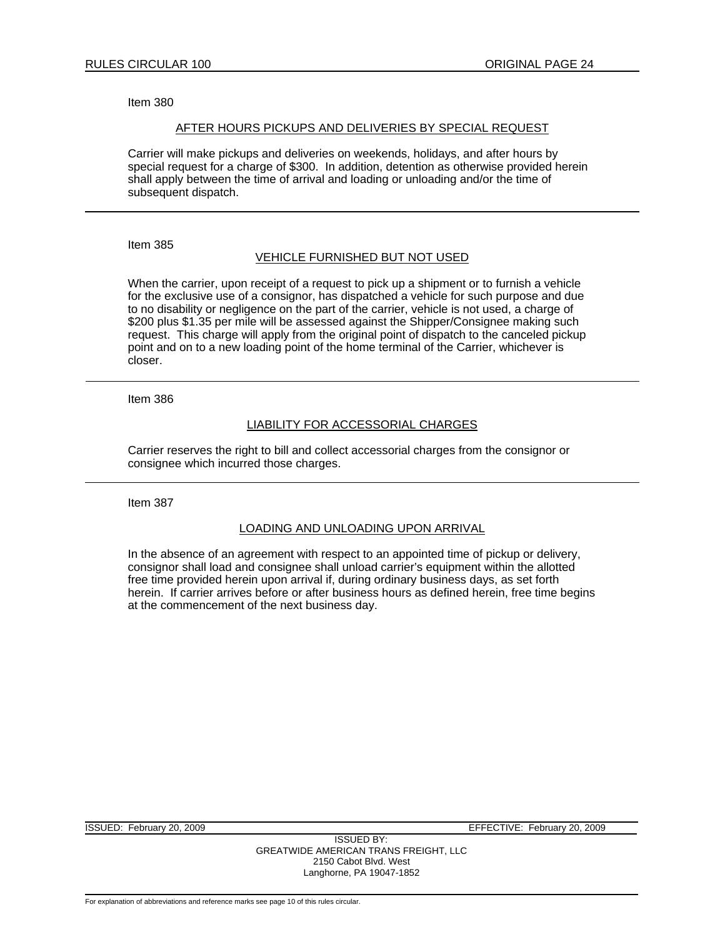#### AFTER HOURS PICKUPS AND DELIVERIES BY SPECIAL REQUEST

Carrier will make pickups and deliveries on weekends, holidays, and after hours by special request for a charge of \$300. In addition, detention as otherwise provided herein shall apply between the time of arrival and loading or unloading and/or the time of subsequent dispatch.

Item 385

#### VEHICLE FURNISHED BUT NOT USED

When the carrier, upon receipt of a request to pick up a shipment or to furnish a vehicle for the exclusive use of a consignor, has dispatched a vehicle for such purpose and due to no disability or negligence on the part of the carrier, vehicle is not used, a charge of \$200 plus \$1.35 per mile will be assessed against the Shipper/Consignee making such request. This charge will apply from the original point of dispatch to the canceled pickup point and on to a new loading point of the home terminal of the Carrier, whichever is closer.

Item 386

# LIABILITY FOR ACCESSORIAL CHARGES

Carrier reserves the right to bill and collect accessorial charges from the consignor or consignee which incurred those charges.

Item 387

# LOADING AND UNLOADING UPON ARRIVAL

In the absence of an agreement with respect to an appointed time of pickup or delivery, consignor shall load and consignee shall unload carrier's equipment within the allotted free time provided herein upon arrival if, during ordinary business days, as set forth herein. If carrier arrives before or after business hours as defined herein, free time begins at the commencement of the next business day.

ISSUED: February 20, 2009 EFFECTIVE: February 20, 2009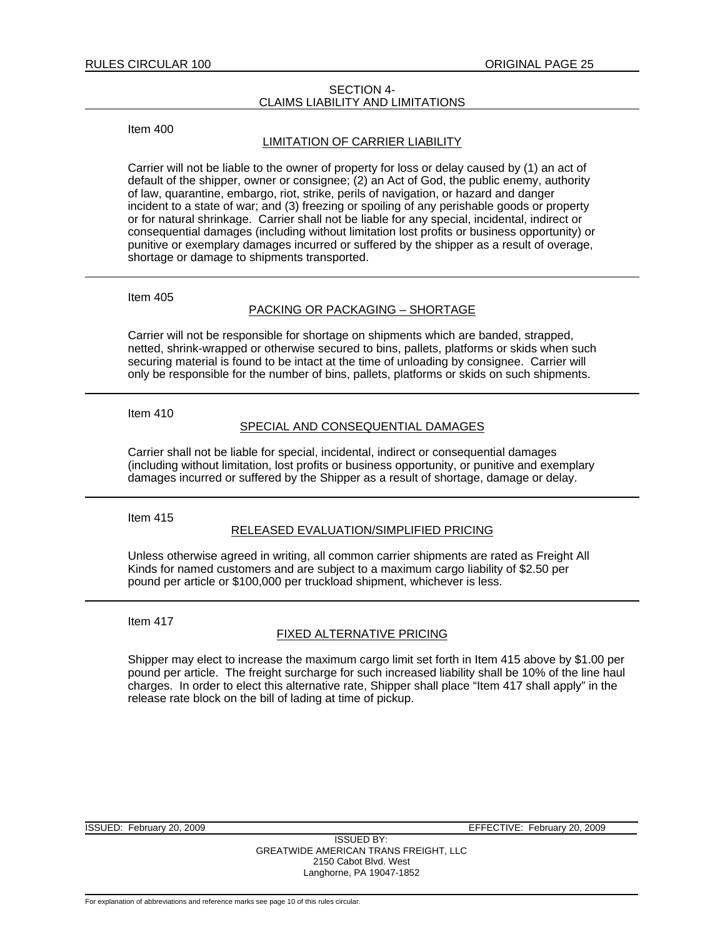#### SECTION 4- CLAIMS LIABILITY AND LIMITATIONS

Item 400

# LIMITATION OF CARRIER LIABILITY

Carrier will not be liable to the owner of property for loss or delay caused by (1) an act of default of the shipper, owner or consignee; (2) an Act of God, the public enemy, authority of law, quarantine, embargo, riot, strike, perils of navigation, or hazard and danger incident to a state of war; and (3) freezing or spoiling of any perishable goods or property or for natural shrinkage. Carrier shall not be liable for any special, incidental, indirect or consequential damages (including without limitation lost profits or business opportunity) or punitive or exemplary damages incurred or suffered by the shipper as a result of overage, shortage or damage to shipments transported.

Item 405

#### PACKING OR PACKAGING – SHORTAGE

Carrier will not be responsible for shortage on shipments which are banded, strapped, netted, shrink-wrapped or otherwise secured to bins, pallets, platforms or skids when such securing material is found to be intact at the time of unloading by consignee. Carrier will only be responsible for the number of bins, pallets, platforms or skids on such shipments.

Item 410

# SPECIAL AND CONSEQUENTIAL DAMAGES

Carrier shall not be liable for special, incidental, indirect or consequential damages (including without limitation, lost profits or business opportunity, or punitive and exemplary damages incurred or suffered by the Shipper as a result of shortage, damage or delay.

Item 415

#### RELEASED EVALUATION/SIMPLIFIED PRICING

Unless otherwise agreed in writing, all common carrier shipments are rated as Freight All Kinds for named customers and are subject to a maximum cargo liability of \$2.50 per pound per article or \$100,000 per truckload shipment, whichever is less.

Item 417

#### FIXED ALTERNATIVE PRICING

Shipper may elect to increase the maximum cargo limit set forth in Item 415 above by \$1.00 per pound per article. The freight surcharge for such increased liability shall be 10% of the line haul charges. In order to elect this alternative rate, Shipper shall place "Item 417 shall apply" in the release rate block on the bill of lading at time of pickup.

ISSUED: February 20, 2009 EFFECTIVE: February 20, 2009

ISSUED BY: GREATWIDE AMERICAN TRANS FREIGHT, LLC 2150 Cabot Blvd. West Langhorne, PA 19047-1852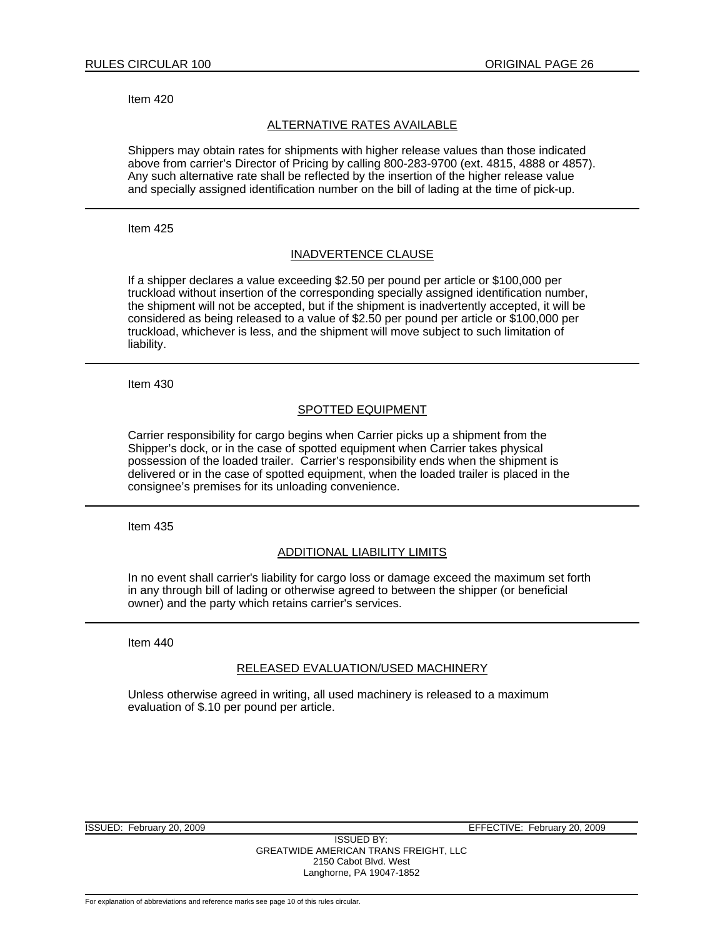# ALTERNATIVE RATES AVAILABLE

Shippers may obtain rates for shipments with higher release values than those indicated above from carrier's Director of Pricing by calling 800-283-9700 (ext. 4815, 4888 or 4857). Any such alternative rate shall be reflected by the insertion of the higher release value and specially assigned identification number on the bill of lading at the time of pick-up.

Item 425

# INADVERTENCE CLAUSE

If a shipper declares a value exceeding \$2.50 per pound per article or \$100,000 per truckload without insertion of the corresponding specially assigned identification number, the shipment will not be accepted, but if the shipment is inadvertently accepted, it will be considered as being released to a value of \$2.50 per pound per article or \$100,000 per truckload, whichever is less, and the shipment will move subject to such limitation of liability.

Item 430

# SPOTTED EQUIPMENT

Carrier responsibility for cargo begins when Carrier picks up a shipment from the Shipper's dock, or in the case of spotted equipment when Carrier takes physical possession of the loaded trailer. Carrier's responsibility ends when the shipment is delivered or in the case of spotted equipment, when the loaded trailer is placed in the consignee's premises for its unloading convenience.

Item 435

# ADDITIONAL LIABILITY LIMITS

In no event shall carrier's liability for cargo loss or damage exceed the maximum set forth in any through bill of lading or otherwise agreed to between the shipper (or beneficial owner) and the party which retains carrier's services.

Item 440

# RELEASED EVALUATION/USED MACHINERY

Unless otherwise agreed in writing, all used machinery is released to a maximum evaluation of \$.10 per pound per article.

ISSUED: February 20, 2009 EFFECTIVE: February 20, 2009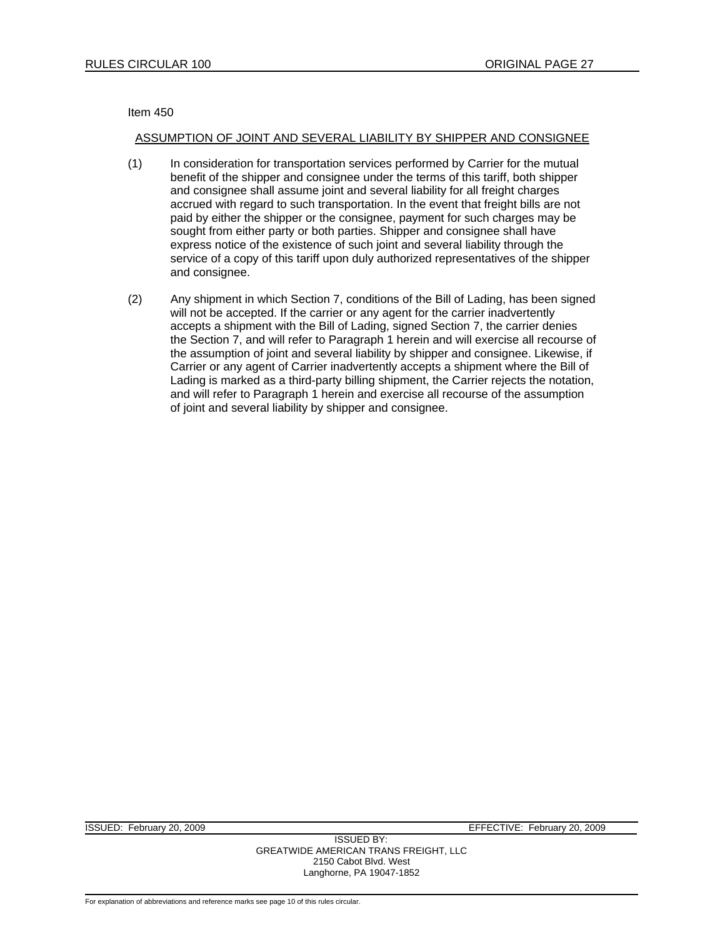#### ASSUMPTION OF JOINT AND SEVERAL LIABILITY BY SHIPPER AND CONSIGNEE

- (1) In consideration for transportation services performed by Carrier for the mutual benefit of the shipper and consignee under the terms of this tariff, both shipper and consignee shall assume joint and several liability for all freight charges accrued with regard to such transportation. In the event that freight bills are not paid by either the shipper or the consignee, payment for such charges may be sought from either party or both parties. Shipper and consignee shall have express notice of the existence of such joint and several liability through the service of a copy of this tariff upon duly authorized representatives of the shipper and consignee.
- (2) Any shipment in which Section 7, conditions of the Bill of Lading, has been signed will not be accepted. If the carrier or any agent for the carrier inadvertently accepts a shipment with the Bill of Lading, signed Section 7, the carrier denies the Section 7, and will refer to Paragraph 1 herein and will exercise all recourse of the assumption of joint and several liability by shipper and consignee. Likewise, if Carrier or any agent of Carrier inadvertently accepts a shipment where the Bill of Lading is marked as a third-party billing shipment, the Carrier rejects the notation, and will refer to Paragraph 1 herein and exercise all recourse of the assumption of joint and several liability by shipper and consignee.

ISSUED: February 20, 2009 EFFECTIVE: February 20, 2009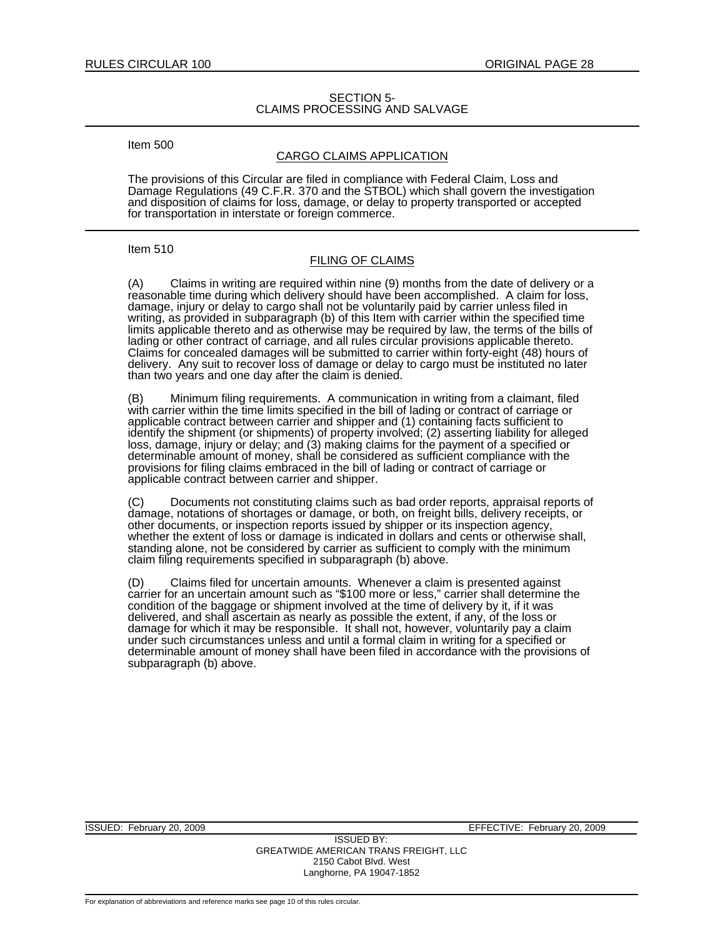#### SECTION 5- CLAIMS PROCESSING AND SALVAGE

Item 500

# CARGO CLAIMS APPLICATION

The provisions of this Circular are filed in compliance with Federal Claim, Loss and Damage Regulations (49 C.F.R. 370 and the STBOL) which shall govern the investigation and disposition of claims for loss, damage, or delay to property transported or accepted for transportation in interstate or foreign commerce.

#### Item 510

# FILING OF CLAIMS

(A) Claims in writing are required within nine (9) months from the date of delivery or a reasonable time during which delivery should have been accomplished. A claim for loss, damage, injury or delay to cargo shall not be voluntarily paid by carrier unless filed in writing, as provided in subparagraph (b) of this Item with carrier within the specified time limits applicable thereto and as otherwise may be required by law, the terms of the bills of lading or other contract of carriage, and all rules circular provisions applicable thereto. Claims for concealed damages will be submitted to carrier within forty-eight (48) hours of delivery. Any suit to recover loss of damage or delay to cargo must be instituted no later than two years and one day after the claim is denied.

(B) Minimum filing requirements. A communication in writing from a claimant, filed with carrier within the time limits specified in the bill of lading or contract of carriage or applicable contract between carrier and shipper and (1) containing facts sufficient to identify the shipment (or shipments) of property involved; (2) asserting liability for alleged loss, damage, injury or delay; and (3) making claims for the payment of a specified or determinable amount of money, shall be considered as sufficient compliance with the provisions for filing claims embraced in the bill of lading or contract of carriage or applicable contract between carrier and shipper.

(C) Documents not constituting claims such as bad order reports, appraisal reports of damage, notations of shortages or damage, or both, on freight bills, delivery receipts, or other documents, or inspection reports issued by shipper or its inspection agency, whether the extent of loss or damage is indicated in dollars and cents or otherwise shall, standing alone, not be considered by carrier as sufficient to comply with the minimum claim filing requirements specified in subparagraph (b) above.

(D) Claims filed for uncertain amounts. Whenever a claim is presented against carrier for an uncertain amount such as "\$100 more or less," carrier shall determine the condition of the baggage or shipment involved at the time of delivery by it, if it was delivered, and shall ascertain as nearly as possible the extent, if any, of the loss or damage for which it may be responsible. It shall not, however, voluntarily pay a claim under such circumstances unless and until a formal claim in writing for a specified or determinable amount of money shall have been filed in accordance with the provisions of subparagraph (b) above.

ISSUED: February 20, 2009 EFFECTIVE: February 20, 2009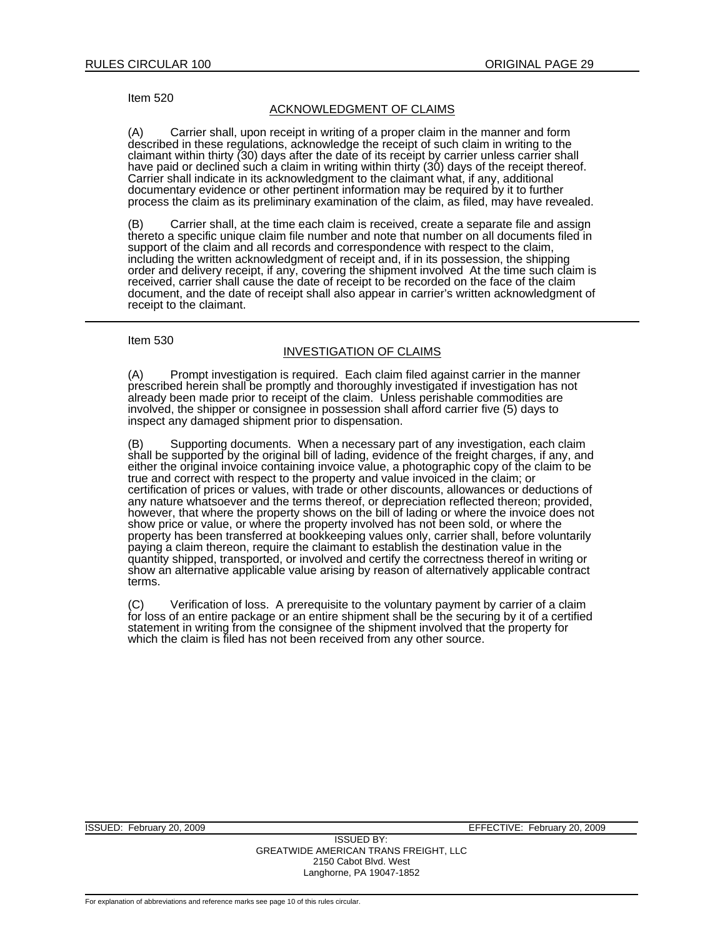### ACKNOWLEDGMENT OF CLAIMS

(A) Carrier shall, upon receipt in writing of a proper claim in the manner and form described in these regulations, acknowledge the receipt of such claim in writing to the claimant within thirty (30) days after the date of its receipt by carrier unless carrier shall have paid or declined such a claim in writing within thirty (30) days of the receipt thereof. Carrier shall indicate in its acknowledgment to the claimant what, if any, additional documentary evidence or other pertinent information may be required by it to further process the claim as its preliminary examination of the claim, as filed, may have revealed.

(B) Carrier shall, at the time each claim is received, create a separate file and assign thereto a specific unique claim file number and note that number on all documents filed in support of the claim and all records and correspondence with respect to the claim, including the written acknowledgment of receipt and, if in its possession, the shipping order and delivery receipt, if any, covering the shipment involved At the time such claim is received, carrier shall cause the date of receipt to be recorded on the face of the claim document, and the date of receipt shall also appear in carrier's written acknowledgment of receipt to the claimant.

Item 530

# INVESTIGATION OF CLAIMS

(A) Prompt investigation is required. Each claim filed against carrier in the manner prescribed herein shall be promptly and thoroughly investigated if investigation has not already been made prior to receipt of the claim. Unless perishable commodities are involved, the shipper or consignee in possession shall afford carrier five (5) days to inspect any damaged shipment prior to dispensation.

(B) Supporting documents. When a necessary part of any investigation, each claim shall be supported by the original bill of lading, evidence of the freight charges, if any, and either the original invoice containing invoice value, a photographic copy of the claim to be true and correct with respect to the property and value invoiced in the claim; or certification of prices or values, with trade or other discounts, allowances or deductions of any nature whatsoever and the terms thereof, or depreciation reflected thereon; provided, however, that where the property shows on the bill of lading or where the invoice does not show price or value, or where the property involved has not been sold, or where the property has been transferred at bookkeeping values only, carrier shall, before voluntarily paying a claim thereon, require the claimant to establish the destination value in the quantity shipped, transported, or involved and certify the correctness thereof in writing or show an alternative applicable value arising by reason of alternatively applicable contract terms.

(C) Verification of loss. A prerequisite to the voluntary payment by carrier of a claim for loss of an entire package or an entire shipment shall be the securing by it of a certified statement in writing from the consignee of the shipment involved that the property for which the claim is filed has not been received from any other source.

ISSUED: February 20, 2009 EFFECTIVE: February 20, 2009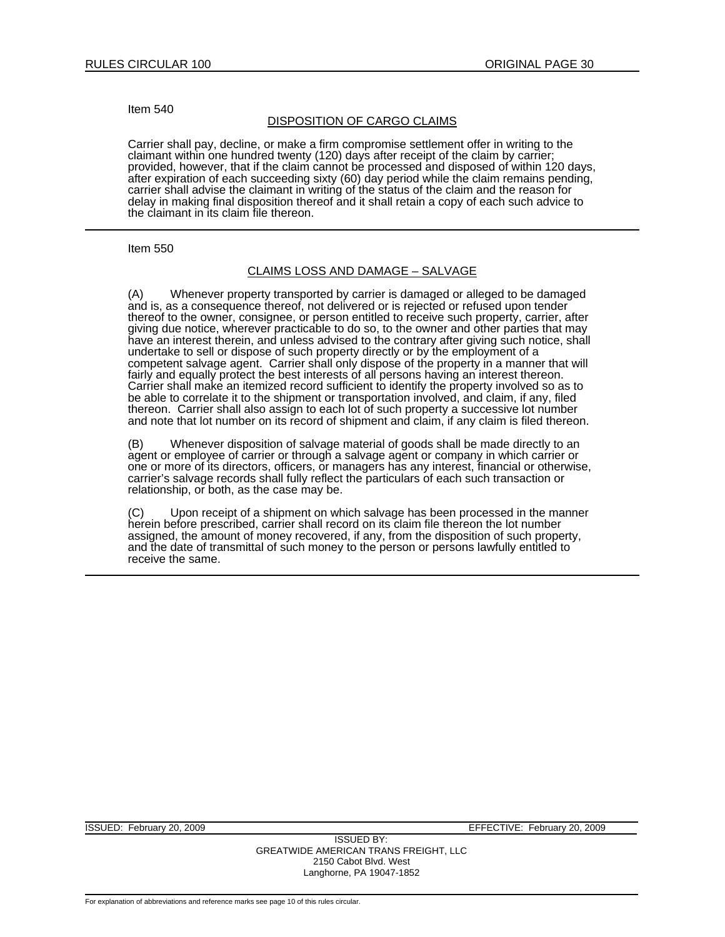#### DISPOSITION OF CARGO CLAIMS

Carrier shall pay, decline, or make a firm compromise settlement offer in writing to the claimant within one hundred twenty (120) days after receipt of the claim by carrier; provided, however, that if the claim cannot be processed and disposed of within 120 days, after expiration of each succeeding sixty (60) day period while the claim remains pending, carrier shall advise the claimant in writing of the status of the claim and the reason for delay in making final disposition thereof and it shall retain a copy of each such advice to the claimant in its claim file thereon.

#### Item 550

# CLAIMS LOSS AND DAMAGE – SALVAGE

(A) Whenever property transported by carrier is damaged or alleged to be damaged and is, as a consequence thereof, not delivered or is rejected or refused upon tender thereof to the owner, consignee, or person entitled to receive such property, carrier, after giving due notice, wherever practicable to do so, to the owner and other parties that may have an interest therein, and unless advised to the contrary after giving such notice, shall undertake to sell or dispose of such property directly or by the employment of a competent salvage agent. Carrier shall only dispose of the property in a manner that will fairly and equally protect the best interests of all persons having an interest thereon. Carrier shall make an itemized record sufficient to identify the property involved so as to be able to correlate it to the shipment or transportation involved, and claim, if any, filed thereon. Carrier shall also assign to each lot of such property a successive lot number and note that lot number on its record of shipment and claim, if any claim is filed thereon.

(B) Whenever disposition of salvage material of goods shall be made directly to an agent or employee of carrier or through a salvage agent or company in which carrier or one or more of its directors, officers, or managers has any interest, financial or otherwise, carrier's salvage records shall fully reflect the particulars of each such transaction or relationship, or both, as the case may be.

(C) Upon receipt of a shipment on which salvage has been processed in the manner herein before prescribed, carrier shall record on its claim file thereon the lot number assigned, the amount of money recovered, if any, from the disposition of such property, and the date of transmittal of such money to the person or persons lawfully entitled to receive the same.

ISSUED: February 20, 2009 EFFECTIVE: February 20, 2009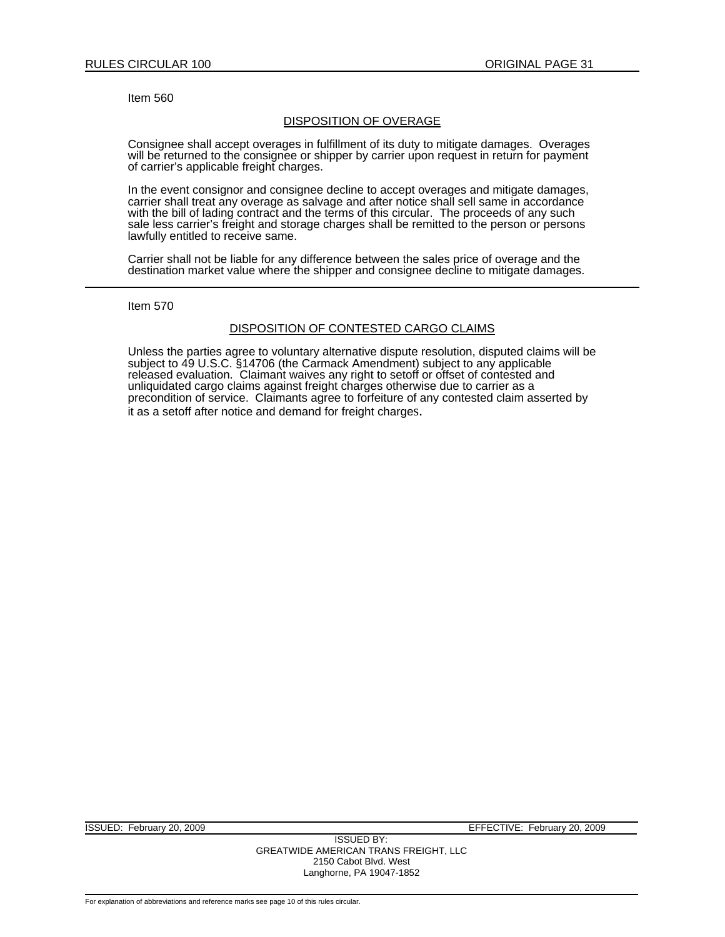# DISPOSITION OF OVERAGE

Consignee shall accept overages in fulfillment of its duty to mitigate damages. Overages will be returned to the consignee or shipper by carrier upon request in return for payment of carrier's applicable freight charges.

In the event consignor and consignee decline to accept overages and mitigate damages, carrier shall treat any overage as salvage and after notice shall sell same in accordance with the bill of lading contract and the terms of this circular. The proceeds of any such sale less carrier's freight and storage charges shall be remitted to the person or persons lawfully entitled to receive same.

Carrier shall not be liable for any difference between the sales price of overage and the destination market value where the shipper and consignee decline to mitigate damages.

Item 570

# DISPOSITION OF CONTESTED CARGO CLAIMS

Unless the parties agree to voluntary alternative dispute resolution, disputed claims will be subject to 49 U.S.C. §14706 (the Carmack Amendment) subject to any applicable released evaluation. Claimant waives any right to setoff or offset of contested and unliquidated cargo claims against freight charges otherwise due to carrier as a precondition of service. Claimants agree to forfeiture of any contested claim asserted by it as a setoff after notice and demand for freight charges.

ISSUED: February 20, 2009 EFFECTIVE: February 20, 2009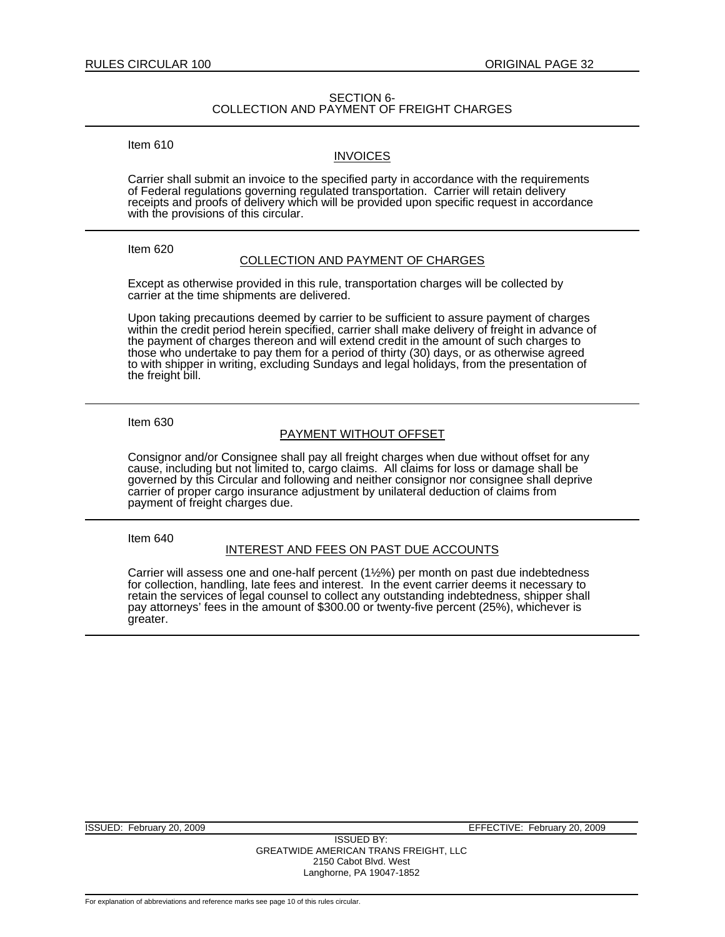#### SECTION 6- COLLECTION AND PAYMENT OF FREIGHT CHARGES

Item 610

#### **INVOICES**

Carrier shall submit an invoice to the specified party in accordance with the requirements of Federal regulations governing regulated transportation. Carrier will retain delivery receipts and proofs of delivery which will be provided upon specific request in accordance with the provisions of this circular.

#### Item 620

#### COLLECTION AND PAYMENT OF CHARGES

Except as otherwise provided in this rule, transportation charges will be collected by carrier at the time shipments are delivered.

Upon taking precautions deemed by carrier to be sufficient to assure payment of charges within the credit period herein specified, carrier shall make delivery of freight in advance of the payment of charges thereon and will extend credit in the amount of such charges to those who undertake to pay them for a period of thirty (30) days, or as otherwise agreed to with shipper in writing, excluding Sundays and legal holidays, from the presentation of the freight bill.

#### Item 630

#### PAYMENT WITHOUT OFFSET

Consignor and/or Consignee shall pay all freight charges when due without offset for any cause, including but not limited to, cargo claims. All claims for loss or damage shall be governed by this Circular and following and neither consignor nor consignee shall deprive carrier of proper cargo insurance adjustment by unilateral deduction of claims from payment of freight charges due.

#### Item 640

#### INTEREST AND FEES ON PAST DUE ACCOUNTS

Carrier will assess one and one-half percent (1½%) per month on past due indebtedness for collection, handling, late fees and interest. In the event carrier deems it necessary to retain the services of legal counsel to collect any outstanding indebtedness, shipper shall pay attorneys' fees in the amount of \$300.00 or twenty-five percent (25%), whichever is greater.

ISSUED: February 20, 2009 EFFECTIVE: February 20, 2009